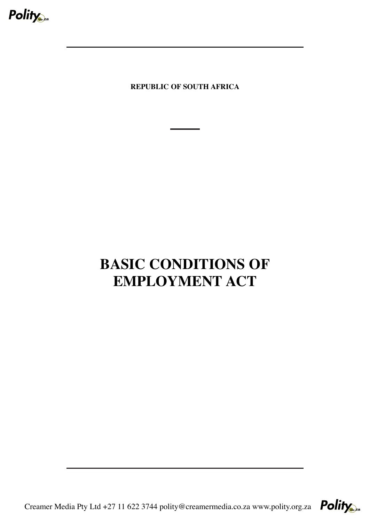

**REPUBLIC OF SOUTH AFRICA**

# **BASIC CONDITIONS OF EMPLOYMENT ACT**

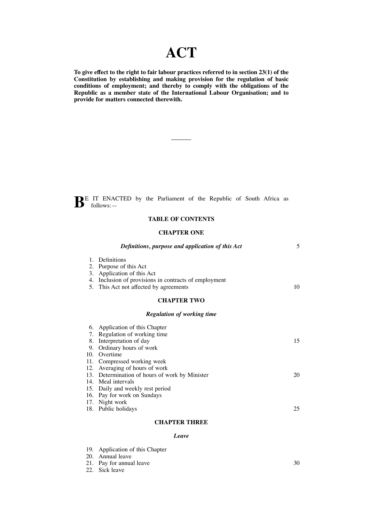# **ACT**

**To give effect to the right to fair labour practices referred to in section 23(1) of the Constitution by establishing and making provision for the regulation of basic conditions of employment; and thereby to comply with the obligations of the Republic as a member state of the International Labour Organisation; and to provide for matters connected therewith.**

**BE** IT ENACTED by the Parliament of the Republic of South Africa as follows:-

# **TABLE OF CONTENTS**

#### **CHAPTER ONE**

|                               | Definitions, purpose and application of this Act                                                                                                                              | 5  |
|-------------------------------|-------------------------------------------------------------------------------------------------------------------------------------------------------------------------------|----|
| 2.<br>3.<br>4.                | 1. Definitions<br>Purpose of this Act<br>Application of this Act<br>Inclusion of provisions in contracts of employment<br>5. This Act not affected by agreements              | 10 |
|                               | <b>CHAPTER TWO</b>                                                                                                                                                            |    |
|                               | <b>Regulation of working time</b>                                                                                                                                             |    |
| 9.                            | 6. Application of this Chapter<br>7. Regulation of working time<br>8. Interpretation of day<br>Ordinary hours of work                                                         | 15 |
| 10 <sub>1</sub><br>14.<br>15. | Overtime<br>11. Compressed working week<br>12. Averaging of hours of work<br>13. Determination of hours of work by Minister<br>Meal intervals<br>Daily and weekly rest period | 20 |
| 16.<br>17.                    | Pay for work on Sundays<br>Night work<br>18. Public holidays                                                                                                                  | 25 |

# **CHAPTER THREE**

#### *Leave*

| 19. Application of this Chapter |    |
|---------------------------------|----|
| 20. Annual leave                |    |
| 21. Pay for annual leave        | 30 |
| 22. Sick leave                  |    |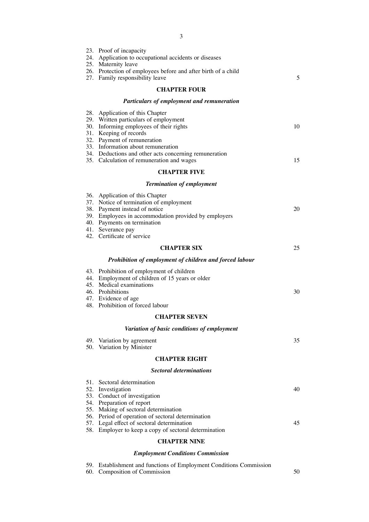|     | 3                                                                                                                                                                                                                       |    |
|-----|-------------------------------------------------------------------------------------------------------------------------------------------------------------------------------------------------------------------------|----|
|     | 23. Proof of incapacity<br>24. Application to occupational accidents or diseases<br>25. Maternity leave<br>26. Protection of employees before and after birth of a child<br>27. Family responsibility leave             | 5  |
|     | <b>CHAPTER FOUR</b>                                                                                                                                                                                                     |    |
|     | Particulars of employment and remuneration                                                                                                                                                                              |    |
|     | 28. Application of this Chapter<br>29. Written particulars of employment<br>30. Informing employees of their rights<br>31. Keeping of records<br>32. Payment of remuneration                                            | 10 |
|     | 33. Information about remuneration<br>34. Deductions and other acts concerning remuneration                                                                                                                             |    |
|     | 35. Calculation of remuneration and wages                                                                                                                                                                               | 15 |
|     | <b>CHAPTER FIVE</b>                                                                                                                                                                                                     |    |
|     | <b>Termination of employment</b>                                                                                                                                                                                        |    |
|     | 36. Application of this Chapter<br>37. Notice of termination of employment<br>38. Payment instead of notice<br>39. Employees in accommodation provided by employers<br>40. Payments on termination<br>41. Severance pay | 20 |
|     | 42. Certificate of service                                                                                                                                                                                              |    |
|     | <b>CHAPTER SIX</b>                                                                                                                                                                                                      | 25 |
|     | Prohibition of employment of children and forced labour                                                                                                                                                                 |    |
|     | 43. Prohibition of employment of children<br>44. Employment of children of 15 years or older<br>45. Medical examinations<br>46. Prohibitions                                                                            | 30 |
|     | 47. Evidence of age<br>48. Prohibition of forced labour                                                                                                                                                                 |    |
|     | <b>CHAPTER SEVEN</b>                                                                                                                                                                                                    |    |
|     | Variation of basic conditions of employment                                                                                                                                                                             |    |
| 50. | 49. Variation by agreement<br>Variation by Minister                                                                                                                                                                     | 35 |
|     | <b>CHAPTER EIGHT</b>                                                                                                                                                                                                    |    |
|     | <b>Sectoral determinations</b>                                                                                                                                                                                          |    |
|     | 51. Sectoral determination<br>52. Investigation<br>53. Conduct of investigation                                                                                                                                         | 40 |
|     | 54. Preparation of report<br>55. Making of sectoral determination<br>56. Period of operation of sectoral determination                                                                                                  |    |
| 58. | 57. Legal effect of sectoral determination<br>Employer to keep a copy of sectoral determination                                                                                                                         | 45 |
|     | <b>CHAPTER NINE</b>                                                                                                                                                                                                     |    |
|     |                                                                                                                                                                                                                         |    |

# *Employment Conditions Commission*

|  | 59. Establishment and functions of Employment Conditions Commission |  |  |  |  |  |  |  |  |  |
|--|---------------------------------------------------------------------|--|--|--|--|--|--|--|--|--|
|--|---------------------------------------------------------------------|--|--|--|--|--|--|--|--|--|

60. Composition of Commission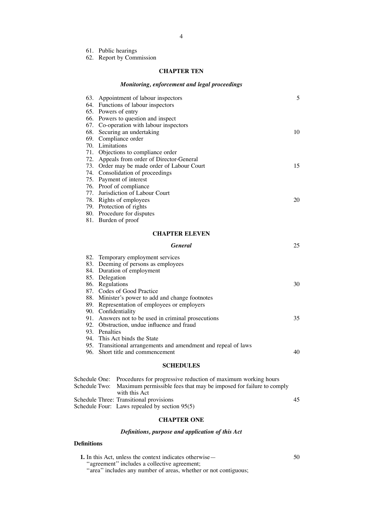61. Public hearings

62. Report by Commission

# **CHAPTER TEN**

# *Monitoring, enforcement and legal proceedings*

|     | 63. Appointment of labour inspectors    | 5  |
|-----|-----------------------------------------|----|
|     | 64. Functions of labour inspectors      |    |
|     | 65. Powers of entry                     |    |
| 66. | Powers to question and inspect          |    |
| 67. | Co-operation with labour inspectors     |    |
| 68. | Securing an undertaking                 | 10 |
|     | 69. Compliance order                    |    |
|     | 70. Limitations                         |    |
| 71. | Objections to compliance order          |    |
| 72. | Appeals from order of Director-General  |    |
| 73. | Order may be made order of Labour Court | 15 |
|     | 74. Consolidation of proceedings        |    |
|     | 75. Payment of interest                 |    |
|     | 76. Proof of compliance                 |    |
|     | 77. Jurisdiction of Labour Court        |    |
|     | 78. Rights of employees                 | 20 |
|     | 79. Protection of rights                |    |
|     | 80. Procedure for disputes              |    |
| 81. | Burden of proof                         |    |
|     | <b>CHAPTER ELEVEN</b>                   |    |
|     | <b>General</b>                          | 25 |

|  | 82. Temporary employment services                              |     |
|--|----------------------------------------------------------------|-----|
|  | 83. Deeming of persons as employees                            |     |
|  | 84. Duration of employment                                     |     |
|  | 85. Delegation                                                 |     |
|  | 86. Regulations                                                | 30. |
|  | 87. Codes of Good Practice                                     |     |
|  | 88. Minister's power to add and change footnotes               |     |
|  | 89. Representation of employees or employers                   |     |
|  | 90. Confidentiality                                            |     |
|  | 91. Answers not to be used in criminal prosecutions            | 35. |
|  | 92. Obstruction, undue influence and fraud                     |     |
|  | 93. Penalties                                                  |     |
|  | 94. This Act binds the State                                   |     |
|  | 95. Transitional arrangements and amendment and repeal of laws |     |
|  | 96. Short title and commencement                               | 40  |
|  |                                                                |     |

# **SCHEDULES**

| Schedule One: Procedures for progressive reduction of maximum working hours      |    |
|----------------------------------------------------------------------------------|----|
| Schedule Two: Maximum permissible fees that may be imposed for failure to comply |    |
| with this Act                                                                    |    |
| Schedule Three: Transitional provisions                                          | 45 |
| Schedule Four: Laws repealed by section 95(5)                                    |    |

# **CHAPTER ONE**

# *Definitions, purpose and application of this Act*

# **Definitions**

| <b>1.</b> In this Act, unless the context indicates otherwise— | 50 |
|----------------------------------------------------------------|----|
| "agreement" includes a collective agreement;                   |    |

"area" includes any number of areas, whether or not contiguous;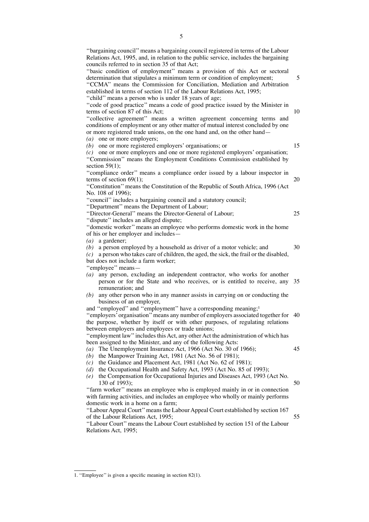''bargaining council''means a bargaining council registered in terms of the Labour Relations Act, 1995, and, in relation to the public service, includes the bargaining councils referred to in section 35 of that Act; "basic condition of employment" means a provision of this Act or sectoral determination that stipulates a minimum term or condition of employment; ''CCMA'' means the Commission for Conciliation, Mediation and Arbitration established in terms of section 112 of the Labour Relations Act, 1995; "child" means a person who is under 18 years of age; "code of good practice" means a code of good practice issued by the Minister in terms of section 87 of this Act; "collective agreement" means a written agreement concerning terms and conditions of employment or any other matter of mutual interest concluded by one or more registered trade unions, on the one hand and, on the other hand— *(a)* one or more employers; *(b)* one or more registered employers' organisations; or *(c)* one or more employers and one or more registered employers' organisation; ''Commission'' means the Employment Conditions Commission established by section  $59(1)$ ; ''compliance order'' means a compliance order issued by a labour inspector in terms of section 69(1); ''Constitution'' means the Constitution of the Republic of South Africa, 1996 (Act No. 108 of 1996); "council" includes a bargaining council and a statutory council; ''Department'' means the Department of Labour; ''Director-General'' means the Director-General of Labour; ''dispute'' includes an alleged dispute; ''domestic worker'' means an employee who performs domestic work in the home of his or her employer and includes— *(a)* a gardener; *(b)* a person employed by a household as driver of a motor vehicle; and *(c)* a person who takes care of children, the aged, the sick, the frail or the disabled, but does not include a farm worker; ''employee'' means— *(a)* any person, excluding an independent contractor, who works for another person or for the State and who receives, or is entitled to receive, any 35 remuneration; and *(b)* any other person who in any manner assists in carrying on or conducting the business of an employer, and "employed" and "employment" have a corresponding meaning;<sup>1</sup> ''employers'organisation''means any number of employers associated together for 40 the purpose, whether by itself or with other purposes, of regulating relations between employers and employees or trade unions; "employment law" includes this Act, any other Act the administration of which has been assigned to the Minister, and any of the following Acts: *(a)* The Unemployment Insurance Act, 1966 (Act No. 30 of 1966); *(b)* the Manpower Training Act, 1981 (Act No. 56 of 1981); *(c)* the Guidance and Placement Act, 1981 (Act No. 62 of 1981); *(d)* the Occupational Health and Safety Act, 1993 (Act No. 85 of 1993); *(e)* the Compensation for Occupational Injuries and Diseases Act, 1993 (Act No. 130 of 1993); "farm worker" means an employee who is employed mainly in or in connection with farming activities, and includes an employee who wholly or mainly performs domestic work in a home on a farm; ''LabourAppeal Court''means the LabourAppeal Court established by section 167 of the Labour Relations Act, 1995; 5 10 15 25 30 45 50 55

''Labour Court'' means the Labour Court established by section 151 of the Labour Relations Act, 1995;

<sup>1. &</sup>quot;Employee" is given a specific meaning in section 82(1).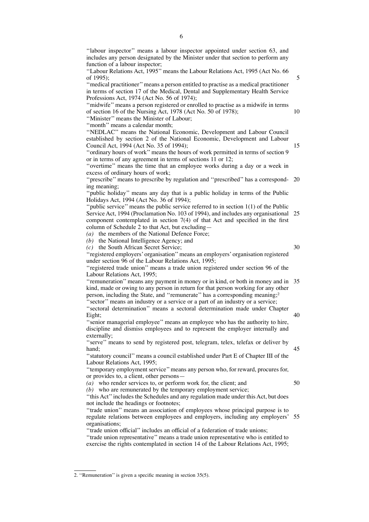''labour inspector'' means a labour inspector appointed under section 63, and includes any person designated by the Minister under that section to perform any function of a labour inspector;

''Labour Relations Act, 1995'' means the Labour Relations Act, 1995 (Act No. 66 of 1995);

''medical practitioner''means a person entitled to practise as a medical practitioner in terms of section 17 of the Medical, Dental and Supplementary Health Service Professions Act, 1974 (Act No. 56 of 1974);

''midwife'' means a person registered or enrolled to practise as a midwife in terms of section 16 of the Nursing Act, 1978 (Act No. 50 of 1978);

''Minister'' means the Minister of Labour;

''month'' means a calendar month;

''NEDLAC'' means the National Economic, Development and Labour Council established by section 2 of the National Economic, Development and Labour Council Act, 1994 (Act No. 35 of 1994);

''ordinary hours of work'' means the hours of work permitted in terms of section 9 or in terms of any agreement in terms of sections 11 or 12;

''overtime'' means the time that an employee works during a day or a week in excess of ordinary hours of work;

"prescribe" means to prescribe by regulation and "prescribed" has a correspond- 20 ing meaning;

''public holiday'' means any day that is a public holiday in terms of the Public Holidays Act, 1994 (Act No. 36 of 1994);

"public service" means the public service referred to in section  $1(1)$  of the Public Service Act, 1994 (Proclamation No. 103 of 1994), and includes any organisational component contemplated in section 7(4) of that Act and specified in the first column of Schedule 2 to that Act, but excluding— 25

*(a)* the members of the National Defence Force;

*(b)* the National Intelligence Agency; and

*(c)* the South African Secret Service;

30

50

5

10

15

''registered employers' organisation'' means an employers' organisation registered under section 96 of the Labour Relations Act, 1995;

''registered trade union'' means a trade union registered under section 96 of the Labour Relations Act, 1995;

''remuneration'' means any payment in money or in kind, or both in money and in 35 kind, made or owing to any person in return for that person working for any other person, including the State, and "remunerate" has a corresponding meaning;<sup>2</sup> "sector" means an industry or a service or a part of an industry or a service;

''sectoral determination'' means a sectoral determination made under Chapter Eight; 40

''senior managerial employee'' means an employee who has the authority to hire, discipline and dismiss employees and to represent the employer internally and externally;

"serve" means to send by registered post, telegram, telex, telefax or deliver by hand; 45

''statutory council'' means a council established under Part E of Chapter III of the Labour Relations Act, 1995;

''temporary employment service''means any person who, for reward, procures for, or provides to, a client, other persons—

*(a)* who render services to, or perform work for, the client; and

*(b)* who are remunerated by the temporary employment service;

''this Act''includes the Schedules and any regulation made under this Act, but does not include the headings or footnotes;

''trade union'' means an association of employees whose principal purpose is to regulate relations between employees and employers, including any employers' organisations; 55

''trade union official'' includes an official of a federation of trade unions;

''trade union representative'' means a trade union representative who is entitled to exercise the rights contemplated in section 14 of the Labour Relations Act, 1995;

<sup>2. &</sup>quot;Remuneration" is given a specific meaning in section 35(5).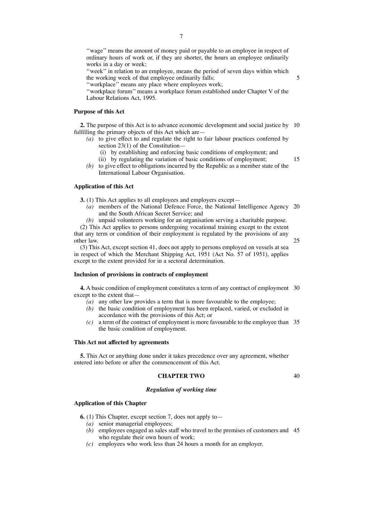''wage'' means the amount of money paid or payable to an employee in respect of ordinary hours of work or, if they are shorter, the hours an employee ordinarily works in a day or week;

"week" in relation to an employee, means the period of seven days within which the working week of that employee ordinarily falls;

''workplace'' means any place where employees work;

''workplace forum'' means a workplace forum established under Chapter V of the Labour Relations Act, 1995.

# **Purpose of this Act**

**2.** The purpose of this Act is to advance economic development and social justice by 10 fulfilling the primary objects of this Act which are—

- *(a)* to give effect to and regulate the right to fair labour practices conferred by section 23(1) of the Constitution—
	- (i) by establishing and enforcing basic conditions of employment; and
	- (ii) by regulating the variation of basic conditions of employment;
- *(b)* to give effect to obligations incurred by the Republic as a member state of the International Labour Organisation.

# **Application of this Act**

**3.** (1) This Act applies to all employees and employers except—

*(a)* members of the National Defence Force, the National Intelligence Agency 20 and the South African Secret Service; and

*(b)* unpaid volunteers working for an organisation serving a charitable purpose.

(2) This Act applies to persons undergoing vocational training except to the extent that any term or condition of their employment is regulated by the provisions of any other law.

(3) This Act, except section 41, does not apply to persons employed on vessels at sea in respect of which the Merchant Shipping Act, 1951 (Act No. 57 of 1951), applies except to the extent provided for in a sectoral determination.

#### **Inclusion of provisions in contracts of employment**

**4.** A basic condition of employment constitutes a term of any contract of employment 30 except to the extent that—

- $\overline{a}$  (*a*) any other law provides a term that is more favourable to the employee;
- *(b)* the basic condition of employment has been replaced, varied, or excluded in accordance with the provisions of this Act; or
- *(c)* a term of the contract of employment is more favourable to the employee than 35 the basic condition of employment.

#### **This Act not affected by agreements**

**5.** This Act or anything done under it takes precedence over any agreement, whether entered into before or after the commencement of this Act.

# **CHAPTER TWO**

40

#### *Regulation of working time*

#### **Application of this Chapter**

**6.** (1) This Chapter, except section 7, does not apply to—

- *(a)* senior managerial employees;
- *(b)* employees engaged as sales staff who travel to the premises of customers and 45who regulate their own hours of work;
- *(c)* employees who work less than 24 hours a month for an employer.

5

15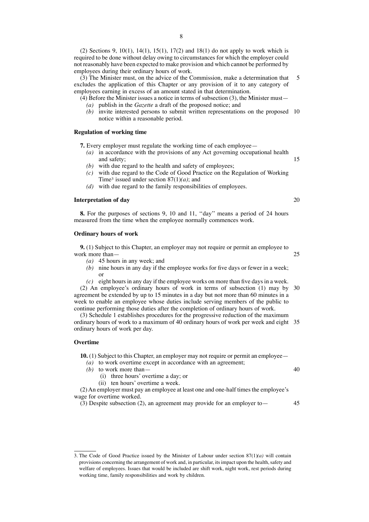(2) Sections 9, 10(1), 14(1), 15(1), 17(2) and 18(1) do not apply to work which is required to be done without delay owing to circumstances for which the employer could not reasonably have been expected to make provision and which cannot be performed by employees during their ordinary hours of work.

(3) The Minister must, on the advice of the Commission, make a determination that excludes the application of this Chapter or any provision of it to any category of employees earning in excess of an amount stated in that determination. 5

 $(4)$  Before the Minister issues a notice in terms of subsection  $(3)$ , the Minister must— *(a)* publish in the *Gazette* a draft of the proposed notice; and

*(b)* invite interested persons to submit written representations on the proposed 10 notice within a reasonable period.

# **Regulation of working time**

- **7.** Every employer must regulate the working time of each employee—
	- *(a)* in accordance with the provisions of any Act governing occupational health and safety; 15
	- *(b)* with due regard to the health and safety of employees;
	- *(c)* with due regard to the Code of Good Practice on the Regulation of Working Time3 issued under section 87(1)*(a)*; and
	- *(d)* with due regard to the family responsibilities of employees.

#### **Interpretation of day**

**8.** For the purposes of sections 9, 10 and 11, ''day'' means a period of 24 hours measured from the time when the employee normally commences work.

#### **Ordinary hours of work**

**9.** (1) Subject to this Chapter, an employer may not require or permit an employee to work more than—

- *(a)* 45 hours in any week; and
- *(b)* nine hours in any day if the employee works for five days or fewer in a week; or
- $(c)$  eight hours in any day if the employee works on more than five days in a week.
- (2) An employee's ordinary hours of work in terms of subsection (1) may by 30 agreement be extended by up to 15 minutes in a day but not more than 60 minutes in a week to enable an employee whose duties include serving members of the public to continue performing those duties after the completion of ordinary hours of work.

(3) Schedule 1 establishes procedures for the progressive reduction of the maximum ordinary hours of work to a maximum of 40 ordinary hours of work per week and eight 35 ordinary hours of work per day.

#### **Overtime**

**10.** (1) Subject to this Chapter, an employer may not require or permit an employee—

- *(a)* to work overtime except in accordance with an agreement;
- *(b)* to work more than—
	- (i) three hours' overtime a day; or
	- (ii) ten hours' overtime a week.

(2)An employer must pay an employee at least one and one-half times the employee's wage for overtime worked.

(3) Despite subsection (2), an agreement may provide for an employer to—

45

40

3. The Code of Good Practice issued by the Minister of Labour under section 87(1)*(a)* will contain provisions concerning the arrangement of work and, in particular, itsimpact upon the health,safety and welfare of employees. Issues that would be included are shift work, night work, rest periods during working time, family responsibilities and work by children.

20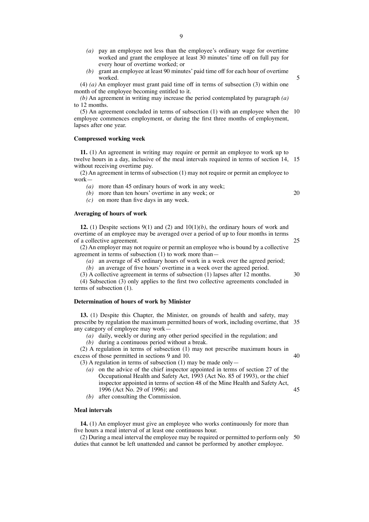- 9
- *(a)* pay an employee not less than the employee's ordinary wage for overtime worked and grant the employee at least 30 minutes' time off on full pay for every hour of overtime worked; or
- *(b)* grant an employee at least 90 minutes' paid time off for each hour of overtime worked.

(4) *(a)* An employer must grant paid time off in terms of subsection (3) within one month of the employee becoming entitled to it.

*(b)* An agreement in writing may increase the period contemplated by paragraph *(a)* to 12 months.

(5) An agreement concluded in terms of subsection (1) with an employee when the 10 employee commences employment, or during the first three months of employment, lapses after one year.

#### **Compressed working week**

**11.** (1) An agreement in writing may require or permit an employee to work up to twelve hours in a day, inclusive of the meal intervals required in terms of section 14, 15 without receiving overtime pay.

(2) An agreement in terms of subsection (1) may not require or permit an employee to work—

*(a)* more than 45 ordinary hours of work in any week;

*(b)* more than ten hours' overtime in any week; or

*(c)* on more than five days in any week.

#### **Averaging of hours of work**

**12.** (1) Despite sections 9(1) and (2) and 10(1)*(b)*, the ordinary hours of work and overtime of an employee may be averaged over a period of up to four months in terms of a collective agreement.

(2) An employer may not require or permit an employee who is bound by a collective agreement in terms of subsection (1) to work more than—

- *(a)* an average of 45 ordinary hours of work in a week over the agreed period;
- *(b)* an average of five hours' overtime in a week over the agreed period.

(3) A collective agreement in terms of subsection (1) lapses after 12 months.

(4) Subsection (3) only applies to the first two collective agreements concluded in terms of subsection (1).

# **Determination of hours of work by Minister**

**13.** (1) Despite this Chapter, the Minister, on grounds of health and safety, may prescribe by regulation the maximum permitted hours of work, including overtime, that 35 any category of employee may work—

*(a)* daily, weekly or during any other period specified in the regulation; and

*(b)* during a continuous period without a break.

(2) A regulation in terms of subsection (1) may not prescribe maximum hours in excess of those permitted in sections 9 and 10. 40

(3) A regulation in terms of subsection (1) may be made only—

- *(a)* on the advice of the chief inspector appointed in terms of section 27 of the Occupational Health and Safety Act, 1993 (Act No. 85 of 1993), or the chief inspector appointed in terms of section 48 of the Mine Health and Safety Act, 1996 (Act No. 29 of 1996); and
- *(b)* after consulting the Commission.

#### **Meal intervals**

**14.** (1) An employer must give an employee who works continuously for more than five hours a meal interval of at least one continuous hour.

(2) During a meal interval the employee may be required or permitted to perform only 50duties that cannot be left unattended and cannot be performed by another employee.

20

5

30

25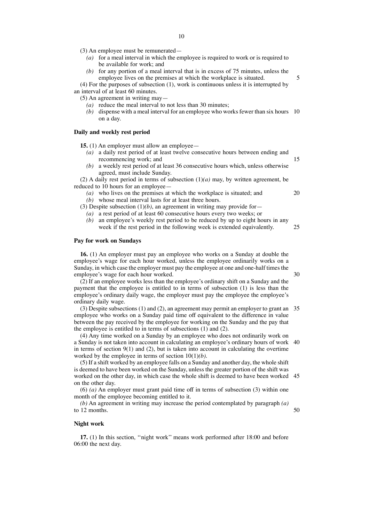- *(a)* for a meal interval in which the employee is required to work or is required to be available for work; and
- *(b)* for any portion of a meal interval that is in excess of 75 minutes, unless the employee lives on the premises at which the workplace is situated.

(4) For the purposes of subsection (1), work is continuous unless it is interrupted by an interval of at least 60 minutes.

(5) An agreement in writing may—

- *(a)* reduce the meal interval to not less than 30 minutes;
- *(b)* dispense with a meal interval for an employee who works fewer than six hours 10 on a day.

# **Daily and weekly rest period**

**15.** (1) An employer must allow an employee—

- *(a)* a daily rest period of at least twelve consecutive hours between ending and recommencing work; and
- *(b)* a weekly rest period of at least 36 consecutive hours which, unless otherwise agreed, must include Sunday.

(2) A daily rest period in terms of subsection (1)*(a)* may, by written agreement, be reduced to 10 hours for an employee—

- *(a)* who lives on the premises at which the workplace is situated; and
- *(b)* whose meal interval lasts for at least three hours.

(3) Despite subsection  $(1)(b)$ , an agreement in writing may provide for

- *(a)* a rest period of at least 60 consecutive hours every two weeks; or
- *(b)* an employee's weekly rest period to be reduced by up to eight hours in any week if the rest period in the following week is extended equivalently. 25

# **Pay for work on Sundays**

**16.** (1) An employer must pay an employee who works on a Sunday at double the employee's wage for each hour worked, unless the employee ordinarily works on a Sunday, in which case the employer must pay the employee at one and one-half times the employee's wage for each hour worked.

(2) If an employee works less than the employee's ordinary shift on a Sunday and the payment that the employee is entitled to in terms of subsection (1) is less than the employee's ordinary daily wage, the employer must pay the employee the employee's ordinary daily wage.

(3) Despite subsections (1) and (2), an agreement may permit an employer to grant an 35 employee who works on a Sunday paid time off equivalent to the difference in value between the pay received by the employee for working on the Sunday and the pay that the employee is entitled to in terms of subsections (1) and (2).

(4) Any time worked on a Sunday by an employee who does not ordinarily work on a Sunday is not taken into account in calculating an employee's ordinary hours of work 40 in terms of section  $9(1)$  and  $(2)$ , but is taken into account in calculating the overtime worked by the employee in terms of section 10(1)*(b)*.

(5) If a shift worked by an employee falls on a Sunday and another day, the whole shift is deemed to have been worked on the Sunday, unless the greater portion of the shift was worked on the other day, in which case the whole shift is deemed to have been worked 45 on the other day.

(6) *(a)* An employer must grant paid time off in terms of subsection (3) within one month of the employee becoming entitled to it.

*(b)* An agreement in writing may increase the period contemplated by paragraph *(a)* to 12 months.

#### **Night work**

**17.** (1) In this section, ''night work'' means work performed after 18:00 and before 06:00 the next day.

30

50

20

15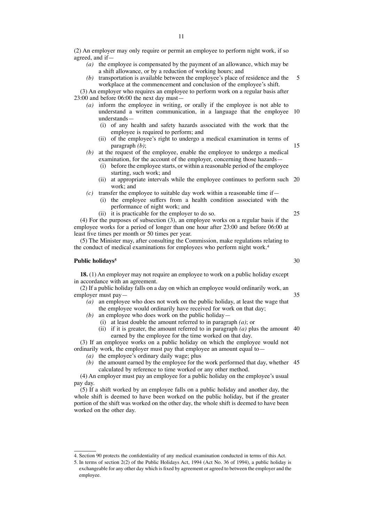(2) An employer may only require or permit an employee to perform night work, if so agreed, and if—

- *(a)* the employee is compensated by the payment of an allowance, which may be a shift allowance, or by a reduction of working hours; and
- *(b)* transportation is available between the employee's place of residence and the workplace at the commencement and conclusion of the employee's shift. 5

(3) An employer who requires an employee to perform work on a regular basis after 23:00 and before 06:00 the next day must—

- *(a)* inform the employee in writing, or orally if the employee is not able to understand a written communication, in a language that the employee 10 understands—
	- (i) of any health and safety hazards associated with the work that the employee is required to perform; and
	- (ii) of the employee's right to undergo a medical examination in terms of paragraph *(b)*;
- *(b)* at the request of the employee, enable the employee to undergo a medical examination, for the account of the employer, concerning those hazards-
	- (i) before the employee starts, or within a reasonable period of the employee starting, such work; and
	- (ii) at appropriate intervals while the employee continues to perform such 20 work; and
- $(c)$  transfer the employee to suitable day work within a reasonable time if—
	- (i) the employee suffers from a health condition associated with the performance of night work; and
	- (ii) it is practicable for the employer to do so.

(4) For the purposes of subsection (3), an employee works on a regular basis if the employee works for a period of longer than one hour after 23:00 and before 06:00 at least five times per month or 50 times per year.

(5) The Minister may, after consulting the Commission, make regulations relating to the conduct of medical examinations for employees who perform night work.<sup>4</sup>

# **Public holidays5**

**18.** (1) An employer may not require an employee to work on a public holiday except in accordance with an agreement.

(2) If a public holiday falls on a day on which an employee would ordinarily work, an employer must pay—

- *(a)* an employee who does not work on the public holiday, at least the wage that the employee would ordinarily have received for work on that day;
- *(b)* an employee who does work on the public holiday—
	- (i) at least double the amount referred to in paragraph *(a)*; or
	- (ii) if it is greater, the amount referred to in paragraph *(a)* plus the amount 40 earned by the employee for the time worked on that day.

(3) If an employee works on a public holiday on which the employee would not ordinarily work, the employer must pay that employee an amount equal to—

- *(a)* the employee's ordinary daily wage; plus
- *(b)* the amount earned by the employee for the work performed that day, whether 45calculated by reference to time worked or any other method.

(4) An employer must pay an employee for a public holiday on the employee's usual pay day.

(5) If a shift worked by an employee falls on a public holiday and another day, the whole shift is deemed to have been worked on the public holiday, but if the greater portion of the shift was worked on the other day, the whole shift is deemed to have been worked on the other day.

30

35

25

<sup>4.</sup> Section 90 protects the confidentiality of any medical examination conducted in terms of this Act.

<sup>5.</sup> In terms of section 2(2) of the Public Holidays Act, 1994 (Act No. 36 of 1994), a public holiday is exchangeable for any other day which is fixed by agreement or agreed to between the employer and the employee.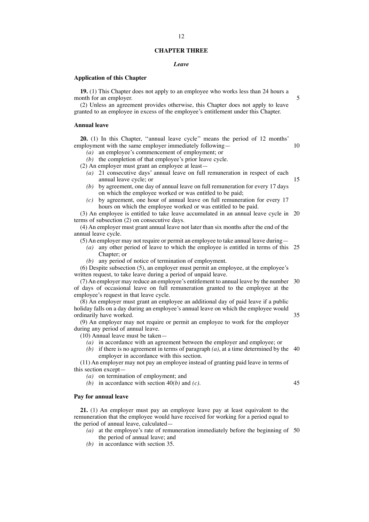#### **CHAPTER THREE**

12

#### *Leave*

#### **Application of this Chapter**

**19.** (1) This Chapter does not apply to an employee who works less than 24 hours a month for an employer.

(2) Unless an agreement provides otherwise, this Chapter does not apply to leave granted to an employee in excess of the employee's entitlement under this Chapter.

#### **Annual leave**

**20.** (1) In this Chapter, ''annual leave cycle'' means the period of 12 months' employment with the same employer immediately following—

- *(a)* an employee's commencement of employment; or
- *(b)* the completion of that employee's prior leave cycle.

(2) An employer must grant an employee at least—

- *(a)* 21 consecutive days' annual leave on full remuneration in respect of each annual leave cycle; or
- *(b)* by agreement, one day of annual leave on full remuneration for every 17 days on which the employee worked or was entitled to be paid;
- *(c)* by agreement, one hour of annual leave on full remuneration for every 17 hours on which the employee worked or was entitled to be paid.

(3) An employee is entitled to take leave accumulated in an annual leave cycle in 20 terms of subsection (2) on consecutive days.

(4) An employer must grant annual leave not later than six months after the end of the annual leave cycle.

(5)An employer may not require or permit an employee to take annual leave during—

*(a)* any other period of leave to which the employee is entitled in terms of this 25 Chapter; or

*(b)* any period of notice of termination of employment.

(6) Despite subsection (5), an employer must permit an employee, at the employee's written request, to take leave during a period of unpaid leave.

(7)An employer may reduce an employee's entitlement to annual leave by the number 30 of days of occasional leave on full remuneration granted to the employee at the employee's request in that leave cycle.

(8) An employer must grant an employee an additional day of paid leave if a public holiday falls on a day during an employee's annual leave on which the employee would ordinarily have worked. 35

(9) An employer may not require or permit an employee to work for the employer during any period of annual leave.

(10) Annual leave must be taken—

- *(a)* in accordance with an agreement between the employer and employee; or
- (b) if there is no agreement in terms of paragraph  $(a)$ , at a time determined by the 40 employer in accordance with this section.

(11) An employer may not pay an employee instead of granting paid leave in terms of this section except—

*(a)* on termination of employment; and

*(b)* in accordance with section 40*(b)* and *(c)*.

#### **Pay for annual leave**

**21.** (1) An employer must pay an employee leave pay at least equivalent to the remuneration that the employee would have received for working for a period equal to the period of annual leave, calculated—

- *(a)* at the employee's rate of remuneration immediately before the beginning of 50the period of annual leave; and
- *(b)* in accordance with section 35.

5

10

15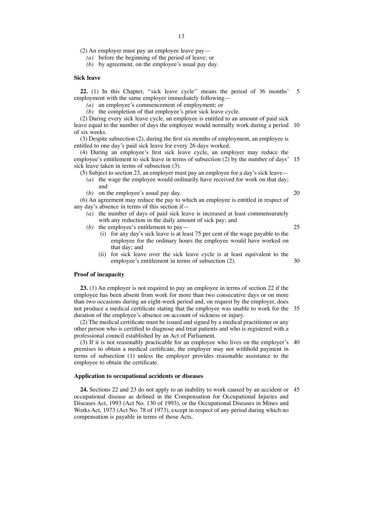(2) An employer must pay an employee leave pay—

*(a)* before the beginning of the period of leave; or

*(b)* by agreement, on the employee's usual pay day.

# **Sick leave**

**22.** (1) In this Chapter, ''sick leave cycle'' means the period of 36 months' 5 employment with the same employer immediately following—

*(a)* an employee's commencement of employment; or

*(b)* the completion of that employee's prior sick leave cycle.

(2) During every sick leave cycle, an employee is entitled to an amount of paid sick leave equal to the number of days the employee would normally work during a period 10 of six weeks.

(3) Despite subsection (2), during the first six months of employment, an employee is entitled to one day's paid sick leave for every 26 days worked.

(4) During an employee's first sick leave cycle, an employer may reduce the employee's entitlement to sick leave in terms of subsection (2) by the number of days' 15 sick leave taken in terms of subsection (3).

- (5) Subject to section 23, an employer must pay an employee for a day's sick leave— *(a)* the wage the employee would ordinarily have received for work on that day; and
	- *(b)* on the employee's usual pay day.

(6) An agreement may reduce the pay to which an employee is entitled in respect of any day's absence in terms of this section if—

- *(a)* the number of days of paid sick leave is increased at least commensurately with any reduction in the daily amount of sick pay; and
- *(b)* the employee's entitlement to pay—
	- (i) for any day's sick leave is at least 75 per cent of the wage payable to the employee for the ordinary hours the employee would have worked on that day; and
	- (ii) for sick leave over the sick leave cycle is at least equivalent to the employee's entitlement in terms of subsection (2). 30

#### **Proof of incapacity**

**23.** (1) An employer is not required to pay an employee in terms of section 22 if the employee has been absent from work for more than two consecutive days or on more than two occasions during an eight-week period and, on request by the employer, does not produce a medical certificate stating that the employee was unable to work for the 35 duration of the employee's absence on account of sickness or injury.

(2) The medical certificate must be issued and signed by a medical practitioner or any other person who is certified to diagnose and treat patients and who is registered with a professional council established by an Act of Parliament.

(3) If it is not reasonably practicable for an employee who lives on the employer's 40 premises to obtain a medical certificate, the employer may not withhold payment in terms of subsection (1) unless the employer provides reasonable assistance to the employee to obtain the certificate.

#### **Application to occupational accidents or diseases**

**24.** Sections 22 and 23 do not apply to an inability to work caused by an accident or 45occupational disease as defined in the Compensation for Occupational Injuries and Diseases Act, 1993 (Act No. 130 of 1993), or the Occupational Diseases in Mines and Works Act, 1973 (Act No. 78 of 1973), except in respect of any period during which no compensation is payable in terms of those Acts.

20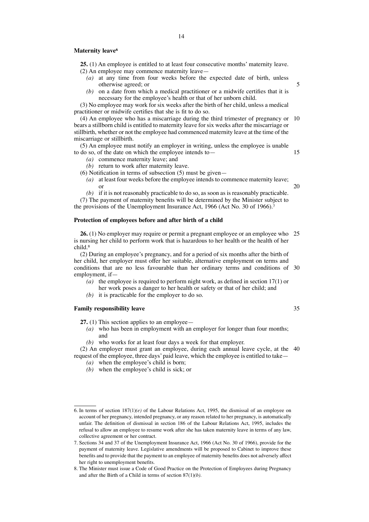#### **Maternity leave6**

**25.** (1) An employee is entitled to at least four consecutive months' maternity leave. (2) An employee may commence maternity leave—

- *(a)* at any time from four weeks before the expected date of birth, unless otherwise agreed; or
- *(b)* on a date from which a medical practitioner or a midwife certifies that it is necessary for the employee's health or that of her unborn child.

(3) No employee may work for six weeks after the birth of her child, unless a medical practitioner or midwife certifies that she is fit to do so.

(4) An employee who has a miscarriage during the third trimester of pregnancy or 10 bears a stillborn child is entitled to maternity leave for six weeks after the miscarriage or stillbirth, whether or not the employee had commenced maternity leave at the time of the miscarriage or stillbirth.

(5) An employee must notify an employer in writing, unless the employee is unable to do so, of the date on which the employee intends to—

- *(a)* commence maternity leave; and
- *(b)* return to work after maternity leave.
- (6) Notification in terms of subsection (5) must be given—
	- *(a)* at least four weeks before the employee intends to commence maternity leave; or
	- *(b)* if it is not reasonably practicable to do so, as soon as is reasonably practicable.

(7) The payment of maternity benefits will be determined by the Minister subject to the provisions of the Unemployment Insurance Act, 1966 (Act No. 30 of 1966).<sup>7</sup>

#### **Protection of employees before and after birth of a child**

**26.** (1) No employer may require or permit a pregnant employee or an employee who 25 is nursing her child to perform work that is hazardous to her health or the health of her child.8

(2) During an employee's pregnancy, and for a period of six months after the birth of her child, her employer must offer her suitable, alternative employment on terms and conditions that are no less favourable than her ordinary terms and conditions of 30 employment, if—

- *(a)* the employee is required to perform night work, as defined in section 17(1) or her work poses a danger to her health or safety or that of her child; and
- *(b)* it is practicable for the employer to do so.

# **Family responsibility leave**

**27.** (1) This section applies to an employee—

- *(a)* who has been in employment with an employer for longer than four months; and
- *(b)* who works for at least four days a week for that employer.

(2) An employer must grant an employee, during each annual leave cycle, at the 40request of the employee, three days' paid leave, which the employee is entitled to take—

- *(a)* when the employee's child is born;
- *(b)* when the employee's child is sick; or

35

5

15

<sup>6.</sup> In terms of section 187(1)*(e)* of the Labour Relations Act, 1995, the dismissal of an employee on account of her pregnancy, intended pregnancy, or any reason related to her pregnancy, is automatically unfair. The definition of dismissal in section 186 of the Labour Relations Act, 1995, includes the refusal to allow an employee to resume work after she has taken maternity leave in terms of any law, collective agreement or her contract.

<sup>7.</sup> Sections 34 and 37 of the Unemployment Insurance Act, 1966 (Act No. 30 of 1966), provide for the payment of maternity leave. Legislative amendments will be proposed to Cabinet to improve these benefits and to provide that the payment to an employee of maternity benefits does not adversely affect her right to unemployment benefits.

<sup>8.</sup> The Minister must issue a Code of Good Practice on the Protection of Employees during Pregnancy and after the Birth of a Child in terms of section 87(1)*(b)*.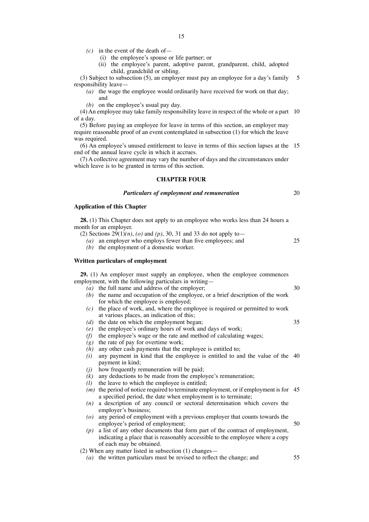$(c)$  in the event of the death of —

(i) the employee's spouse or life partner; or

(ii) the employee's parent, adoptive parent, grandparent, child, adopted child, grandchild or sibling.

(3) Subject to subsection (5), an employer must pay an employee for a day's family responsibility leave— 5

*(a)* the wage the employee would ordinarily have received for work on that day; and

*(b)* on the employee's usual pay day.

(4) An employee may take family responsibility leave in respect of the whole or a part 10 of a day.

(5) Before paying an employee for leave in terms of this section, an employer may require reasonable proof of an event contemplated in subsection (1) for which the leave was required.

(6) An employee's unused entitlement to leave in terms of this section lapses at the 15 end of the annual leave cycle in which it accrues.

(7) A collective agreement may vary the number of days and the circumstances under which leave is to be granted in terms of this section.

# **CHAPTER FOUR**

#### *Particulars of employment and remuneration*

### **Application of this Chapter**

**28.** (1) This Chapter does not apply to an employee who works less than 24 hours a month for an employer.

- (2) Sections  $29(1)(n)$ , *(o)* and *(p)*, 30, 31 and 33 do not apply to
	- *(a)* an employer who employs fewer than five employees; and
	- *(b)* the employment of a domestic worker.

# **Written particulars of employment**

**29.** (1) An employer must supply an employee, when the employee commences employment, with the following particulars in writing—

- *(a)* the full name and address of the employer;
- *(b)* the name and occupation of the employee, or a brief description of the work for which the employee is employed;
- *(c)* the place of work, and, where the employee is required or permitted to work at various places, an indication of this;
- *(d)* the date on which the employment began;
- *(e)* the employee's ordinary hours of work and days of work;
- *(f)* the employee's wage or the rate and method of calculating wages;
- *(g)* the rate of pay for overtime work;
- *(h)* any other cash payments that the employee is entitled to;
- *(i)* any payment in kind that the employee is entitled to and the value of the 40 payment in kind;
- *(j)* how frequently remuneration will be paid;
- *(k)* any deductions to be made from the employee's remuneration;
- *(l)* the leave to which the employee is entitled;
- *(m)* the period of notice required to terminate employment, or if employment is for 45 a specified period, the date when employment is to terminate;
- *(n)* a description of any council or sectoral determination which covers the employer's business;
- *(o)* any period of employment with a previous employer that counts towards the employee's period of employment; 50
- *(p)* a list of any other documents that form part of the contract of employment, indicating a place that is reasonably accessible to the employee where a copy of each may be obtained.

(2) When any matter listed in subsection (1) changes—

*(a)* the written particulars must be revised to reflect the change; and

30

35

20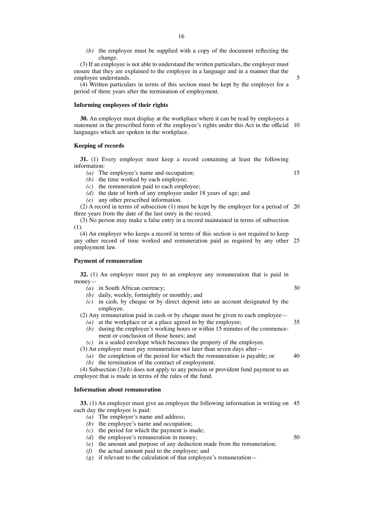*(b)* the employee must be supplied with a copy of the document reflecting the change.

(3) If an employee is not able to understand the written particulars, the employer must ensure that they are explained to the employee in a language and in a manner that the employee understands.

(4) Written particulars in terms of this section must be kept by the employer for a period of three years after the termination of employment.

# **Informing employees of their rights**

**30.** An employer must display at the workplace where it can be read by employees a statement in the prescribed form of the employee's rights under this Act in the official 10 languages which are spoken in the workplace.

#### **Keeping of records**

**31.** (1) Every employer must keep a record containing at least the following information:

*(a)* The employee's name and occupation;

*(b)* the time worked by each employee;

*(c)* the remuneration paid to each employee;

- *(d)* the date of birth of any employee under 18 years of age; and
- *(e)* any other prescribed information.

(2) A record in terms of subsection (1) must be kept by the employer for a period of 20 three years from the date of the last entry in the record.

(3) No person may make a false entry in a record maintained in terms of subsection (1).

(4) An employer who keeps a record in terms of this section is not required to keep any other record of time worked and remuneration paid as required by any other 25 employment law.

#### **Payment of remuneration**

**32.** (1) An employer must pay to an employee any remuneration that is paid in money—

- *(a)* in South African currency;
- *(b)* daily, weekly, fortnightly or monthly; and
- *(c)* in cash, by cheque or by direct deposit into an account designated by the employee.

(2) Any remuneration paid in cash or by cheque must be given to each employee— *(a)* at the workplace or at a place agreed to by the employee; 35

- *(b)* during the employee's working hours or within 15 minutes of the commencement or conclusion of those hours; and
- *(c)* in a sealed envelope which becomes the property of the employee.

(3) An employer must pay remuneration not later than seven days after—

*(a)* the completion of the period for which the remuneration is payable; or *(b)* the termination of the contract of employment.  $40$ 

(4) Subsection (3)*(b)* does not apply to any pension or provident fund payment to an employee that is made in terms of the rules of the fund.

# **Information about remuneration**

**33.** (1) An employer must give an employee the following information in writing on 45 each day the employee is paid:

- *(a)* The employer's name and address;
- *(b)* the employee's name and occupation;
- *(c)* the period for which the payment is made;
- *(d)* the employee's remuneration in money;
- *(e)* the amount and purpose of any deduction made from the remuneration;
- *(f)* the actual amount paid to the employee; and
- $(g)$  if relevant to the calculation of that employee's remuneration—

30

5

- 50
-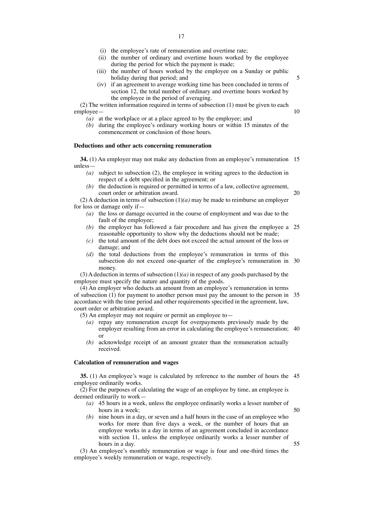- (i) the employee's rate of remuneration and overtime rate;
- (ii) the number of ordinary and overtime hours worked by the employee during the period for which the payment is made;
- (iii) the number of hours worked by the employee on a Sunday or public holiday during that period; and

5

10

50

55

(iv) if an agreement to average working time has been concluded in terms of section 12, the total number of ordinary and overtime hours worked by the employee in the period of averaging.

(2) The written information required in terms of subsection (1) must be given to each employee—

- *(a)* at the workplace or at a place agreed to by the employee; and
- *(b)* during the employee's ordinary working hours or within 15 minutes of the commencement or conclusion of those hours.

#### **Deductions and other acts concerning remuneration**

**34.** (1) An employer may not make any deduction from an employee's remuneration 15 unless—

- *(a)* subject to subsection (2), the employee in writing agrees to the deduction in respect of a debt specified in the agreement; or
- *(b)* the deduction is required or permitted in terms of a law, collective agreement, court order or arbitration award. 20

(2) A deduction in terms of subsection  $(1)(a)$  may be made to reimburse an employer for loss or damage only if—

- *(a)* the loss or damage occurred in the course of employment and was due to the fault of the employee;
- *(b)* the employer has followed a fair procedure and has given the employee a 25 reasonable opportunity to show why the deductions should not be made;
- *(c)* the total amount of the debt does not exceed the actual amount of the loss or damage; and
- *(d)* the total deductions from the employee's remuneration in terms of this subsection do not exceed one-quarter of the employee's remuneration in 30 money.

(3) A deduction in terms of subsection (1)*(a)* in respect of any goods purchased by the employee must specify the nature and quantity of the goods.

(4) An employer who deducts an amount from an employee's remuneration in terms of subsection (1) for payment to another person must pay the amount to the person in 35 accordance with the time period and other requirements specified in the agreement, law, court order or arbitration award.

(5) An employer may not require or permit an employee to—

- *(a)* repay any remuneration except for overpayments previously made by the employer resulting from an error in calculating the employee's remuneration; 40 or
- *(b)* acknowledge receipt of an amount greater than the remuneration actually received.

#### **Calculation of remuneration and wages**

**35.** (1) An employee's wage is calculated by reference to the number of hours the 45 employee ordinarily works.

(2) For the purposes of calculating the wage of an employee by time, an employee is deemed ordinarily to work—

- *(a)* 45 hours in a week, unless the employee ordinarily works a lesser number of hours in a week;
- *(b)* nine hours in a day, or seven and a half hours in the case of an employee who works for more than five days a week, or the number of hours that an employee works in a day in terms of an agreement concluded in accordance with section 11, unless the employee ordinarily works a lesser number of hours in a day.

(3) An employee's monthly remuneration or wage is four and one-third times the employee's weekly remuneration or wage, respectively.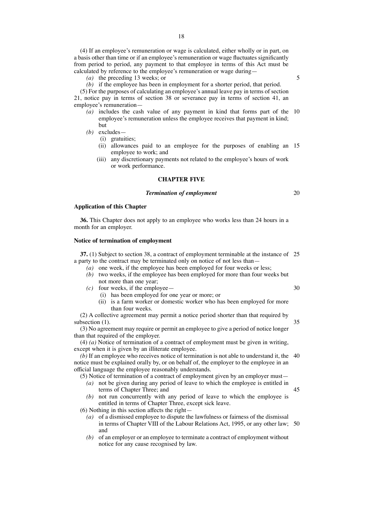(4) If an employee's remuneration or wage is calculated, either wholly or in part, on a basis other than time or if an employee's remuneration or wage fluctuates significantly from period to period, any payment to that employee in terms of this Act must be calculated by reference to the employee's remuneration or wage during—

*(a)* the preceding 13 weeks; or

# *(b)* if the employee has been in employment for a shorter period, that period.

(5) For the purposes of calculating an employee's annual leave pay in terms of section 21, notice pay in terms of section 38 or severance pay in terms of section 41, an employee's remuneration—

- *(a)* includes the cash value of any payment in kind that forms part of the 10 employee's remuneration unless the employee receives that payment in kind; but
- *(b)* excludes—
	- (i) gratuities;
	- (ii) allowances paid to an employee for the purposes of enabling an 15 employee to work; and
	- (iii) any discretionary payments not related to the employee's hours of work or work performance.

# **CHAPTER FIVE**

#### *Termination of employment*

### **Application of this Chapter**

**36.** This Chapter does not apply to an employee who works less than 24 hours in a month for an employer.

# **Notice of termination of employment**

**37.** (1) Subject to section 38, a contract of employment terminable at the instance of 25 a party to the contract may be terminated only on notice of not less than—

- *(a)* one week, if the employee has been employed for four weeks or less;
- *(b)* two weeks, if the employee has been employed for more than four weeks but not more than one year;
- *(c)* four weeks, if the employee—
	- (i) has been employed for one year or more; or
	- (ii) is a farm worker or domestic worker who has been employed for more than four weeks.

(2) A collective agreement may permit a notice period shorter than that required by subsection  $(1)$ .

(3) No agreement may require or permit an employee to give a period of notice longer than that required of the employer.

(4) *(a)* Notice of termination of a contract of employment must be given in writing, except when it is given by an illiterate employee.

*(b)* If an employee who receives notice of termination is not able to understand it, the 40 notice must be explained orally by, or on behalf of, the employer to the employee in an official language the employee reasonably understands.

(5) Notice of termination of a contract of employment given by an employer must—

- *(a)* not be given during any period of leave to which the employee is entitled in terms of Chapter Three; and
- *(b)* not run concurrently with any period of leave to which the employee is entitled in terms of Chapter Three, except sick leave.

(6) Nothing in this section affects the right—

- *(a)* of a dismissed employee to dispute the lawfulness or fairness of the dismissal in terms of Chapter VIII of the Labour Relations Act, 1995, or any other law; 50and
- *(b)* of an employer or an employee to terminate a contract of employment without notice for any cause recognised by law.

5

30

35

45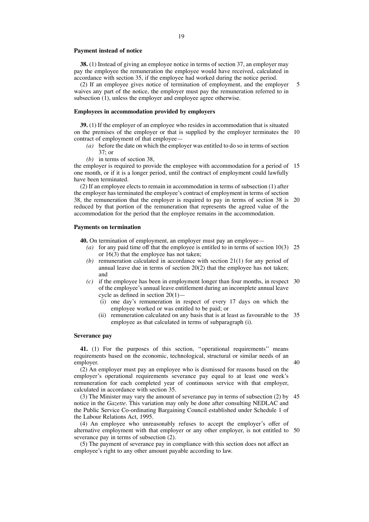#### **Payment instead of notice**

**38.** (1) Instead of giving an employee notice in terms of section 37, an employer may pay the employee the remuneration the employee would have received, calculated in accordance with section 35, if the employee had worked during the notice period.

(2) If an employee gives notice of termination of employment, and the employer waives any part of the notice, the employer must pay the remuneration referred to in subsection (1), unless the employer and employee agree otherwise. 5

# **Employees in accommodation provided by employers**

**39.** (1) If the employer of an employee who resides in accommodation that is situated on the premises of the employer or that is supplied by the employer terminates the 10 contract of employment of that employee—

- *(a)* before the date on which the employer was entitled to do so in terms of section 37; or
- *(b)* in terms of section 38,

the employer is required to provide the employee with accommodation for a period of 15 one month, or if it is a longer period, until the contract of employment could lawfully have been terminated.

(2) If an employee elects to remain in accommodation in terms of subsection (1) after the employer has terminated the employee's contract of employment in terms of section 38, the remuneration that the employer is required to pay in terms of section 38 is 20 reduced by that portion of the remuneration that represents the agreed value of the accommodation for the period that the employee remains in the accommodation.

#### **Payments on termination**

**40.** On termination of employment, an employer must pay an employee—

- *(a)* for any paid time off that the employee is entitled to in terms of section 10(3) 25 or 16(3) that the employee has not taken;
- *(b)* remuneration calculated in accordance with section 21(1) for any period of annual leave due in terms of section 20(2) that the employee has not taken; and
- *(c)* if the employee has been in employment longer than four months, in respect 30 of the employee's annual leave entitlement during an incomplete annual leave cycle as defined in section 20(1)—
	- (i) one day's remuneration in respect of every 17 days on which the employee worked or was entitled to be paid; or
	- (ii) remuneration calculated on any basis that is at least as favourable to the 35 employee as that calculated in terms of subparagraph (i).

40

#### **Severance pay**

**41.** (1) For the purposes of this section, ''operational requirements'' means requirements based on the economic, technological, structural or similar needs of an employer.

(2) An employer must pay an employee who is dismissed for reasons based on the employer's operational requirements severance pay equal to at least one week's remuneration for each completed year of continuous service with that employer, calculated in accordance with section 35.

(3) The Minister may vary the amount of severance pay in terms of subsection (2) by 45 notice in the *Gazette*. This variation may only be done after consulting NEDLAC and the Public Service Co-ordinating Bargaining Council established under Schedule 1 of the Labour Relations Act, 1995.

(4) An employee who unreasonably refuses to accept the employer's offer of alternative employment with that employer or any other employer, is not entitled to 50severance pay in terms of subsection (2).

(5) The payment of severance pay in compliance with this section does not affect an employee's right to any other amount payable according to law.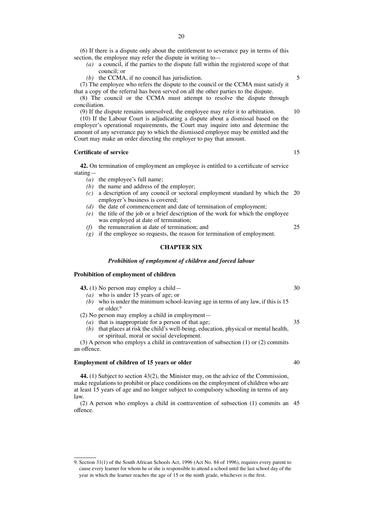(6) If there is a dispute only about the entitlement to severance pay in terms of this section, the employee may refer the dispute in writing to—

- *(a)* a council, if the parties to the dispute fall within the registered scope of that council; or
- *(b)* the CCMA, if no council has jurisdiction.

(7) The employee who refers the dispute to the council or the CCMA must satisfy it that a copy of the referral has been served on all the other parties to the dispute.

(8) The council or the CCMA must attempt to resolve the dispute through conciliation.

(9) If the dispute remains unresolved, the employee may refer it to arbitration.

(10) If the Labour Court is adjudicating a dispute about a dismissal based on the employer's operational requirements, the Court may inquire into and determine the amount of any severance pay to which the dismissed employee may be entitled and the Court may make an order directing the employer to pay that amount.

#### **Certificate of service**

**42.** On termination of employment an employee is entitled to a certificate of service stating—

- *(a)* the employee's full name;
- *(b)* the name and address of the employer;
- *(c)* a description of any council or sectoral employment standard by which the 20 employer's business is covered;
- *(d)* the date of commencement and date of termination of employment;
- *(e)* the title of the job or a brief description of the work for which the employee was employed at date of termination;
- *(f)* the remuneration at date of termination; and
- $(g)$  if the employee so requests, the reason for termination of employment.

#### **CHAPTER SIX**

### *Prohibition of employment of children and forced labour*

#### **Prohibition of employment of children**

**43.** (1) No person may employ a child—

- *(a)* who is under 15 years of age; or
- *(b)* who is under the minimum school-leaving age in terms of any law, if this is 15 or older. 9

(2) No person may employ a child in employment—

*(a)* that is inappropriate for a person of that age; *(b)* that places at risk the child's well-being, education, physical or mental health, or spiritual, moral or social development.

(3) A person who employs a child in contravention of subsection (1) or (2) commits an offence.

#### **Employment of children of 15 years or older**

**44.** (1) Subject to section 43(2), the Minister may, on the advice of the Commission, make regulations to prohibit or place conditions on the employment of children who are at least 15 years of age and no longer subject to compulsory schooling in terms of any law.

(2) A person who employs a child in contravention of subsection (1) commits an 45offence.

5

10

15

30

35

25

<sup>9.</sup> Section 31(1) of the South African Schools Act, 1996 (Act No. 84 of 1996), requires every parent to cause every learner for whom he or she is responsible to attend a school until the last school day of the year in which the learner reaches the age of 15 or the ninth grade, whichever is the first.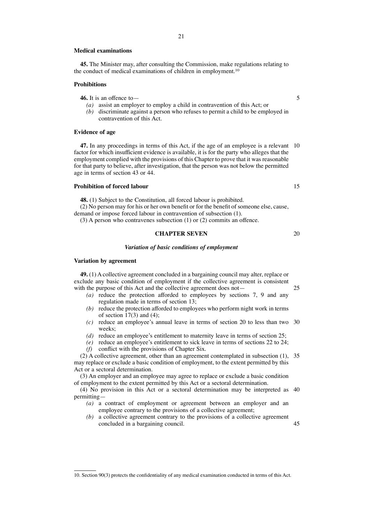#### **Medical examinations**

**45.** The Minister may, after consulting the Commission, make regulations relating to the conduct of medical examinations of children in employment.10

#### **Prohibitions**

**46.** It is an offence to—

- *(a)* assist an employer to employ a child in contravention of this Act; or
- *(b)* discriminate against a person who refuses to permit a child to be employed in contravention of this Act.

#### **Evidence of age**

**47.** In any proceedings in terms of this Act, if the age of an employee is a relevant 10 factor for which insufficient evidence is available, it is for the party who alleges that the employment complied with the provisions of this Chapter to prove that it was reasonable for that party to believe, after investigation, that the person was not below the permitted age in terms of section 43 or 44.

# **Prohibition of forced labour**

**48.** (1) Subject to the Constitution, all forced labour is prohibited.

(2) No person may for his or her own benefit or for the benefit of someone else, cause, demand or impose forced labour in contravention of subsection (1).

(3) A person who contravenes subsection (1) or (2) commits an offence.

# **CHAPTER SEVEN**

#### *Variation of basic conditions of employment*

# **Variation by agreement**

**49.** (1) A collective agreement concluded in a bargaining council may alter, replace or exclude any basic condition of employment if the collective agreement is consistent with the purpose of this Act and the collective agreement does not—

- *(a)* reduce the protection afforded to employees by sections 7, 9 and any regulation made in terms of section 13;
- *(b)* reduce the protection afforded to employees who perform night work in terms of section  $17(3)$  and (4);
- *(c)* reduce an employee's annual leave in terms of section 20 to less than two 30 weeks;
- *(d)* reduce an employee's entitlement to maternity leave in terms of section 25;
- *(e)* reduce an employee's entitlement to sick leave in terms of sections 22 to 24; *(f)* conflict with the provisions of Chapter Six.

(2) A collective agreement, other than an agreement contemplated in subsection (1), 35 may replace or exclude a basic condition of employment, to the extent permitted by this Act or a sectoral determination.

(3) An employer and an employee may agree to replace or exclude a basic condition of employment to the extent permitted by this Act or a sectoral determination.

(4) No provision in this Act or a sectoral determination may be interpreted as 40 permitting—

- *(a)* a contract of employment or agreement between an employer and an employee contrary to the provisions of a collective agreement;
- *(b)* a collective agreement contrary to the provisions of a collective agreement concluded in a bargaining council. 45

5

15

20

<sup>10.</sup> Section 90(3) protects the confidentiality of any medical examination conducted in terms of this Act.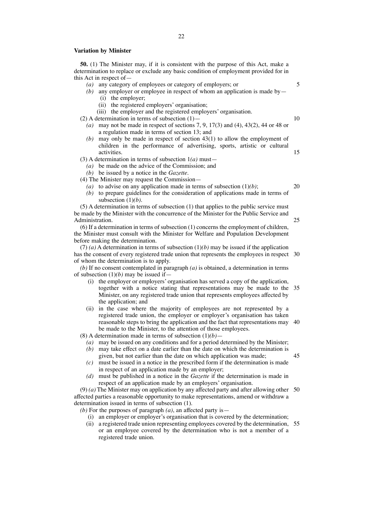#### **Variation by Minister**

**50.** (1) The Minister may, if it is consistent with the purpose of this Act, make a determination to replace or exclude any basic condition of employment provided for in this Act in respect of—

22

- *(a)* any category of employees or category of employers; or
- *(b)* any employer or employee in respect of whom an application is made by—
	- (i) the employer;
	- (ii) the registered employers' organisation;
	- (iii) the employer and the registered employers' organisation.

(2) A determination in terms of subsection  $(1)$ —

- *(a)* may not be made in respect of sections 7, 9, 17(3) and (4), 43(2), 44 or 48 or a regulation made in terms of section 13; and
- *(b)* may only be made in respect of section 43(1) to allow the employment of children in the performance of advertising, sports, artistic or cultural activities.
- (3) A determination in terms of subsection 1*(a)* must—
	- *(a)* be made on the advice of the Commission; and
	- *(b)* be issued by a notice in the *Gazette*.
- (4) The Minister may request the Commission—
	- (a) to advise on any application made in terms of subsection  $(1)(b)$ ;
	- *(b)* to prepare guidelines for the consideration of applications made in terms of subsection (1)*(b)*.
- (5) A determination in terms of subsection (1) that applies to the public service must be made by the Minister with the concurrence of the Minister for the Public Service and Administration.

(6) If a determination in terms of subsection (1) concerns the employment of children, the Minister must consult with the Minister for Welfare and Population Development before making the determination.

(7) (a) A determination in terms of subsection  $(1)(b)$  may be issued if the application has the consent of every registered trade union that represents the employees in respect 30 of whom the determination is to apply.

*(b)* If no consent contemplated in paragraph *(a)* is obtained, a determination in terms of subsection (1)*(b)* may be issued if—

- (i) the employer or employers' organisation has served a copy of the application, together with a notice stating that representations may be made to the 35 Minister, on any registered trade union that represents employees affected by the application; and
- (ii) in the case where the majority of employees are not represented by a registered trade union, the employer or employer's organisation has taken reasonable steps to bring the application and the fact that representations may 40 be made to the Minister, to the attention of those employees.

(8) A determination made in terms of subsection  $(1)(b)$ –

- *(a)* may be issued on any conditions and for a period determined by the Minister;
- *(b)* may take effect on a date earlier than the date on which the determination is given, but not earlier than the date on which application was made; 45
- *(c)* must be issued in a notice in the prescribed form if the determination is made in respect of an application made by an employer;
- *(d)* must be published in a notice in the *Gazette* if the determination is made in respect of an application made by an employers' organisation.

(9) *(a)* The Minister may on application by any affected party and after allowing other 50 affected parties a reasonable opportunity to make representations, amend or withdraw a determination issued in terms of subsection (1).

- *(b)* For the purposes of paragraph *(a)*, an affected party is—
	- (i) an employer or employer's organisation that is covered by the determination;
	- (ii) a registered trade union representing employees covered by the determination, 55or an employee covered by the determination who is not a member of a registered trade union.

5

10

15

20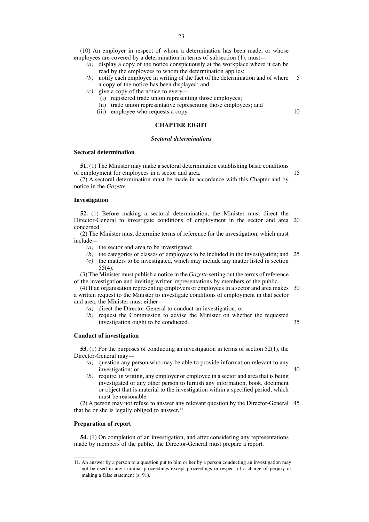(10) An employer in respect of whom a determination has been made, or whose employees are covered by a determination in terms of subsection (1), must—

- *(a)* display a copy of the notice conspicuously at the workplace where it can be read by the employees to whom the determination applies;
- *(b)* notify each employee in writing of the fact of the determination and of where 5 a copy of the notice has been displayed; and
- *(c)* give a copy of the notice to every—
	- (i) registered trade union representing those employees;
	- (ii) trade union representative representing those employees; and
	- (iii) employee who requests a copy.

**CHAPTER EIGHT**

#### *Sectoral determinations*

#### **Sectoral determination**

**51.** (1) The Minister may make a sectoral determination establishing basic conditions of employment for employees in a sector and area.

15

10

(2) A sectoral determination must be made in accordance with this Chapter and by notice in the *Gazette*.

#### **Investigation**

**52.** (1) Before making a sectoral determination, the Minister must direct the Director-General to investigate conditions of employment in the sector and area 20 concerned.

(2) The Minister must determine terms of reference for the investigation, which must include—

- *(a)* the sector and area to be investigated;
- *(b)* the categories or classes of employees to be included in the investigation; and 25
- *(c)* the matters to be investigated, which may include any matter listed in section 55(4).

(3) The Minister must publish a notice in the *Gazette* setting out the terms of reference of the investigation and inviting written representations by members of the public.

(4) If an organisation representing employers or employees in a sector and area makes 30 a written request to the Minister to investigate conditions of employment in that sector and area, the Minister must either—

- *(a)* direct the Director-General to conduct an investigation; or
- *(b)* request the Commission to advise the Minister on whether the requested investigation ought to be conducted. 35

#### **Conduct of investigation**

**53.** (1) For the purposes of conducting an investigation in terms of section 52(1), the Director-General may—

- *(a)* question any person who may be able to provide information relevant to any investigation; or 40
- *(b)* require, in writing, any employer or employee in a sector and area that is being investigated or any other person to furnish any information, book, document or object that is material to the investigation within a specified period, which must be reasonable.

(2) A person may not refuse to answer any relevant question by the Director-General 45that he or she is legally obliged to answer. 11

#### **Preparation of report**

**54.** (1) On completion of an investigation, and after considering any representations made by members of the public, the Director-General must prepare a report.

<sup>11.</sup> An answer by a person to a question put to him or her by a person conducting an investigation may not be used in any criminal proceedings except proceedings in respect of a charge of perjury or making a false statement (s. 91).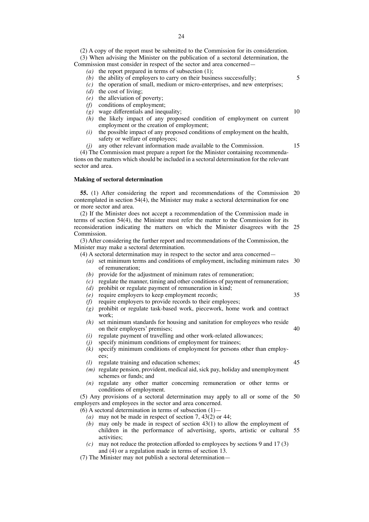(2) A copy of the report must be submitted to the Commission for its consideration. (3) When advising the Minister on the publication of a sectoral determination, the Commission must consider in respect of the sector and area concerned—

- *(a)* the report prepared in terms of subsection (1);
- *(b)* the ability of employers to carry on their business successfully;
- *(c)* the operation of small, medium or micro-enterprises, and new enterprises;
- *(d)* the cost of living;
- *(e)* the alleviation of poverty;
- *(f)* conditions of employment;
- *(g)* wage differentials and inequality;
- *(h)* the likely impact of any proposed condition of employment on current employment or the creation of employment;
- *(i)* the possible impact of any proposed conditions of employment on the health, safety or welfare of employees;
- *(j)* any other relevant information made available to the Commission.

(4) The Commission must prepare a report for the Minister containing recommendations on the matters which should be included in a sectoral determination for the relevant sector and area.

## **Making of sectoral determination**

**55.** (1) After considering the report and recommendations of the Commission 20 contemplated in section  $54(4)$ , the Minister may make a sectoral determination for one or more sector and area.

(2) If the Minister does not accept a recommendation of the Commission made in terms of section 54(4), the Minister must refer the matter to the Commission for its reconsideration indicating the matters on which the Minister disagrees with the 25 Commission.

(3) After considering the further report and recommendations of the Commission, the Minister may make a sectoral determination.

(4) A sectoral determination may in respect to the sector and area concerned—

- *(a)* set minimum terms and conditions of employment, including minimum rates 30 of remuneration;
- *(b)* provide for the adjustment of minimum rates of remuneration;
- *(c)* regulate the manner, timing and other conditions of payment of remuneration;
- *(d)* prohibit or regulate payment of remuneration in kind;
- *(e)* require employers to keep employment records;
- *(f)* require employers to provide records to their employees; *(g)* prohibit or regulate task-based work, piecework, home work and contract work;
- *(h)* set minimum standards for housing and sanitation for employees who reside on their employers' premises;
- *(i)* regulate payment of travelling and other work-related allowances;
- *(j)* specify minimum conditions of employment for trainees;
- *(k)* specify minimum conditions of employment for persons other than employees;
- *(l)* regulate training and education schemes;
- *(m)* regulate pension, provident, medical aid, sick pay, holiday and unemployment schemes or funds; and
- *(n)* regulate any other matter concerning remuneration or other terms or conditions of employment.

(5) Any provisions of a sectoral determination may apply to all or some of the 50 employers and employees in the sector and area concerned.

- (6) A sectoral determination in terms of subsection  $(1)$  -
	- *(a)* may not be made in respect of section 7, 43(2) or 44;
	- *(b)* may only be made in respect of section 43(1) to allow the employment of children in the performance of advertising, sports, artistic or cultural 55activities;
	- *(c)* may not reduce the protection afforded to employees by sections 9 and 17 (3) and (4) or a regulation made in terms of section 13.
- (7) The Minister may not publish a sectoral determination—

15

10

5

40

45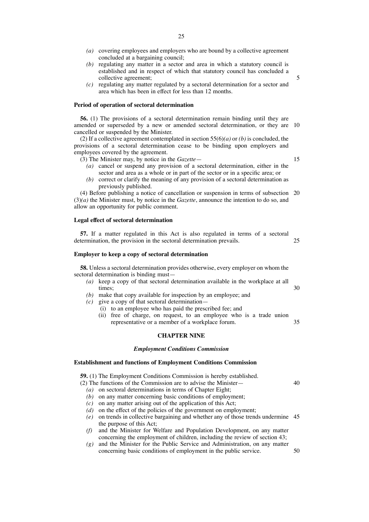- *(a)* covering employees and employers who are bound by a collective agreement concluded at a bargaining council;
- *(b)* regulating any matter in a sector and area in which a statutory council is established and in respect of which that statutory council has concluded a collective agreement;
- *(c)* regulating any matter regulated by a sectoral determination for a sector and area which has been in effect for less than 12 months.

#### **Period of operation of sectoral determination**

**56.** (1) The provisions of a sectoral determination remain binding until they are amended or superseded by a new or amended sectoral determination, or they are 10 cancelled or suspended by the Minister.

(2) If a collective agreement contemplated in section 55(6)*(a)* or *(b)* is concluded, the provisions of a sectoral determination cease to be binding upon employers and employees covered by the agreement.

(3) The Minister may, by notice in the *Gazette*—

15

40

5

- *(a)* cancel or suspend any provision of a sectoral determination, either in the sector and area as a whole or in part of the sector or in a specific area; or
- *(b)* correct or clarify the meaning of any provision of a sectoral determination as previously published.

(4) Before publishing a notice of cancellation or suspension in terms of subsection 20 (3)*(a)* the Minister must, by notice in the *Gazette*, announce the intention to do so, and allow an opportunity for public comment.

#### **Legal effect of sectoral determination**

**57.** If a matter regulated in this Act is also regulated in terms of a sectoral determination, the provision in the sectoral determination prevails. 25

# **Employer to keep a copy of sectoral determination**

**58.** Unless a sectoral determination provides otherwise, every employer on whom the sectoral determination is binding must—

- *(a)* keep a copy of that sectoral determination available in the workplace at all times; 30
- *(b)* make that copy available for inspection by an employee; and
- *(c)* give a copy of that sectoral determination—
	- (i) to an employee who has paid the prescribed fee; and
		- (ii) free of charge, on request, to an employee who is a trade union representative or a member of a workplace forum. 35

## **CHAPTER NINE**

#### *Employment Conditions Commission*

# **Establishment and functions of Employment Conditions Commission**

**59.** (1) The Employment Conditions Commission is hereby established.

- (2) The functions of the Commission are to advise the Minister—
	- *(a)* on sectoral determinations in terms of Chapter Eight;
	- *(b)* on any matter concerning basic conditions of employment;
	- *(c)* on any matter arising out of the application of this Act;
	- *(d)* on the effect of the policies of the government on employment;
	- *(e)* on trends in collective bargaining and whether any of those trends undermine 45 the purpose of this Act;
	- *(f)* and the Minister for Welfare and Population Development, on any matter concerning the employment of children, including the review of section 43;
	- *(g)* and the Minister for the Public Service and Administration, on any matter concerning basic conditions of employment in the public service. 50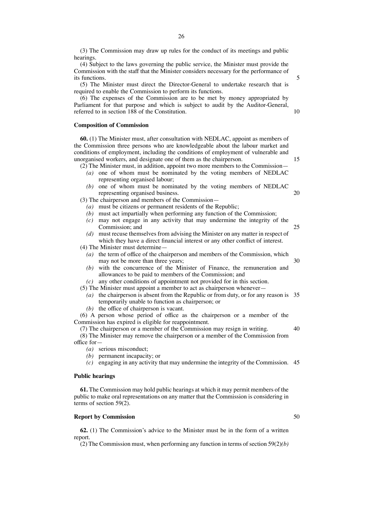(3) The Commission may draw up rules for the conduct of its meetings and public hearings.

(4) Subject to the laws governing the public service, the Minister must provide the Commission with the staff that the Minister considers necessary for the performance of its functions.

(5) The Minister must direct the Director-General to undertake research that is required to enable the Commission to perform its functions.

(6) The expenses of the Commission are to be met by money appropriated by Parliament for that purpose and which is subject to audit by the Auditor-General, referred to in section 188 of the Constitution.

#### **Composition of Commission**

**60.** (1) The Minister must, after consultation with NEDLAC, appoint as members of the Commission three persons who are knowledgeable about the labour market and conditions of employment, including the conditions of employment of vulnerable and unorganised workers, and designate one of them as the chairperson.

(2) The Minister must, in addition, appoint two more members to the Commission—

- *(a)* one of whom must be nominated by the voting members of NEDLAC representing organised labour;
- *(b)* one of whom must be nominated by the voting members of NEDLAC representing organised business. 20

(3) The chairperson and members of the Commission—

- *(a)* must be citizens or permanent residents of the Republic;
- *(b)* must act impartially when performing any function of the Commission;
- *(c)* may not engage in any activity that may undermine the integrity of the Commission; and
- *(d)* must recuse themselves from advising the Minister on any matter in respect of which they have a direct financial interest or any other conflict of interest.
- (4) The Minister must determine—
	- *(a)* the term of office of the chairperson and members of the Commission, which may not be more than three years; 30
	- *(b)* with the concurrence of the Minister of Finance, the remuneration and allowances to be paid to members of the Commission; and

*(c)* any other conditions of appointment not provided for in this section.

(5) The Minister must appoint a member to act as chairperson whenever—

- *(a)* the chairperson is absent from the Republic or from duty, or for any reason is 35 temporarily unable to function as chairperson; or
- *(b)* the office of chairperson is vacant.

(6) A person whose period of office as the chairperson or a member of the Commission has expired is eligible for reappointment.

(7) The chairperson or a member of the Commission may resign in writing. (8) The Minister may remove the chairperson or a member of the Commission from office for— 40

- *(a)* serious misconduct;
- *(b)* permanent incapacity; or
- *(c)* engaging in any activity that may undermine the integrity of the Commission. 45

#### **Public hearings**

**61.** The Commission may hold public hearings at which it may permit members of the public to make oral representations on any matter that the Commission is considering in terms of section 59(2).

#### **Report by Commission**

**62.** (1) The Commission's advice to the Minister must be in the form of a written report.

(2) The Commission must, when performing any function in terms of section 59(2)*(b)*

26

50

5

10

15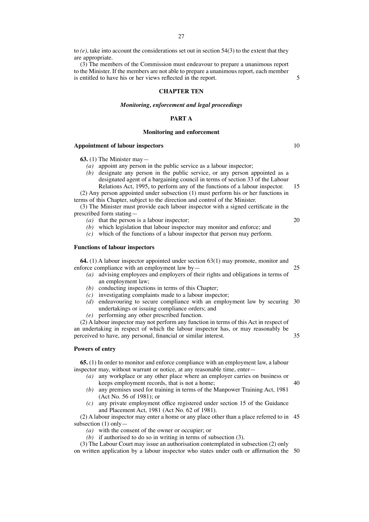to *(e)*, take into account the considerations set out in section 54(3) to the extent that they are appropriate.

(3) The members of the Commission must endeavour to prepare a unanimous report to the Minister. If the members are not able to prepare a unanimous report, each member is entitled to have his or her views reflected in the report.

#### **CHAPTER TEN**

#### *Monitoring, enforcement and legal proceedings*

## **PART A**

## **Monitoring and enforcement**

#### **Appointment of labour inspectors**

**63.** (1) The Minister may—

- *(a)* appoint any person in the public service as a labour inspector;
- *(b)* designate any person in the public service, or any person appointed as a designated agent of a bargaining council in terms of section 33 of the Labour Relations Act, 1995, to perform any of the functions of a labour inspector.

(2) Any person appointed under subsection (1) must perform his or her functions in terms of this Chapter, subject to the direction and control of the Minister.

(3) The Minister must provide each labour inspector with a signed certificate in the prescribed form stating—

- *(a)* that the person is a labour inspector;
- *(b)* which legislation that labour inspector may monitor and enforce; and
- *(c)* which of the functions of a labour inspector that person may perform.

#### **Functions of labour inspectors**

**64.** (1) A labour inspector appointed under section 63(1) may promote, monitor and enforce compliance with an employment law by—

- *(a)* advising employees and employers of their rights and obligations in terms of an employment law;
- *(b)* conducting inspections in terms of this Chapter;
- *(c)* investigating complaints made to a labour inspector;
- *(d)* endeavouring to secure compliance with an employment law by securing 30 undertakings or issuing compliance orders; and
- *(e)* performing any other prescribed function.

(2) A labour inspector may not perform any function in terms of this Act in respect of an undertaking in respect of which the labour inspector has, or may reasonably be perceived to have, any personal, financial or similar interest.

#### **Powers of entry**

**65.** (1) In order to monitor and enforce compliance with an employment law, a labour inspector may, without warrant or notice, at any reasonable time, enter—

- *(a)* any workplace or any other place where an employer carries on business or keeps employment records, that is not a home;
- *(b)* any premises used for training in terms of the Manpower Training Act, 1981 (Act No. 56 of 1981); or
- *(c)* any private employment office registered under section 15 of the Guidance and Placement Act, 1981 (Act No. 62 of 1981).

(2) A labour inspector may enter a home or any place other than a place referred to in 45 subsection (1) only—

*(a)* with the consent of the owner or occupier; or

*(b)* if authorised to do so in writing in terms of subsection (3).

(3) The Labour Court may issue an authorisation contemplated in subsection (2) only on written application by a labour inspector who states under oath or affirmation the 50

20

25

15

5

10

35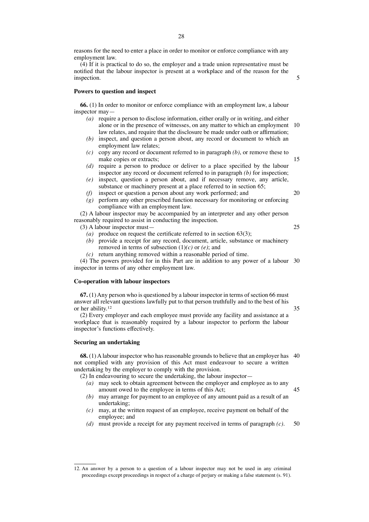reasons for the need to enter a place in order to monitor or enforce compliance with any employment law.

(4) If it is practical to do so, the employer and a trade union representative must be notified that the labour inspector is present at a workplace and of the reason for the inspection.

#### **Powers to question and inspect**

**66.** (1) In order to monitor or enforce compliance with an employment law, a labour inspector may—

- *(a)* require a person to disclose information, either orally or in writing, and either alone or in the presence of witnesses, on any matter to which an employment 10 law relates, and require that the disclosure be made under oath or affirmation;
- *(b)* inspect, and question a person about, any record or document to which an employment law relates;
- *(c)* copy any record or document referred to in paragraph *(b)*, or remove these to make copies or extracts;
- *(d)* require a person to produce or deliver to a place specified by the labour inspector any record or document referred to in paragraph *(b)* for inspection;
- *(e)* inspect, question a person about, and if necessary remove, any article, substance or machinery present at a place referred to in section 65;
- *(f)* inspect or question a person about any work performed; and *(g)* perform any other prescribed function necessary for monitoring or enforcing
- compliance with an employment law. (2) A labour inspector may be accompanied by an interpreter and any other person reasonably required to assist in conducting the inspection.
	- (3) A labour inspector must—
		- $(a)$  produce on request the certificate referred to in section 63(3);
		- *(b)* provide a receipt for any record, document, article, substance or machinery removed in terms of subsection (1)*(c)* or *(e)*; and
		- *(c)* return anything removed within a reasonable period of time.

(4) The powers provided for in this Part are in addition to any power of a labour 30 inspector in terms of any other employment law.

#### **Co-operation with labour inspectors**

**67.** (1) Any person who is questioned by a labour inspector in terms of section 66 must answer all relevant questions lawfully put to that person truthfully and to the best of his or her ability. 12

(2) Every employer and each employee must provide any facility and assistance at a workplace that is reasonably required by a labour inspector to perform the labour inspector's functions effectively.

### **Securing an undertaking**

**68.** (1) A labour inspector who has reasonable grounds to believe that an employer has 40 not complied with any provision of this Act must endeavour to secure a written undertaking by the employer to comply with the provision.

(2) In endeavouring to secure the undertaking, the labour inspector—

- *(a)* may seek to obtain agreement between the employer and employee as to any amount owed to the employee in terms of this Act; 45
- *(b)* may arrange for payment to an employee of any amount paid as a result of an undertaking;
- *(c)* may, at the written request of an employee, receive payment on behalf of the employee; and
- *(d)* must provide a receipt for any payment received in terms of paragraph *(c)*. 50

25

20

35

15

<sup>12.</sup> An answer by a person to a question of a labour inspector may not be used in any criminal proceedings except proceedings in respect of a charge of perjury or making a false statement (s. 91).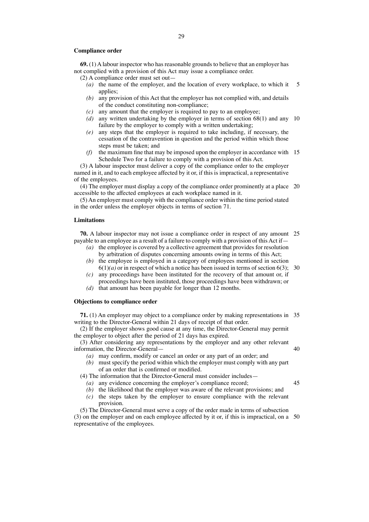#### **Compliance order**

**69.** (1)Alabour inspector who has reasonable grounds to believe that an employer has not complied with a provision of this Act may issue a compliance order.

(2) A compliance order must set out—

- *(a)* the name of the employer, and the location of every workplace, to which it applies; 5
- *(b)* any provision of this Act that the employer has not complied with, and details of the conduct constituting non-compliance;
- *(c)* any amount that the employer is required to pay to an employee;
- *(d)* any written undertaking by the employer in terms of section 68(1) and any 10 failure by the employer to comply with a written undertaking;
- *(e)* any steps that the employer is required to take including, if necessary, the cessation of the contravention in question and the period within which those steps must be taken; and
- *(f)* the maximum fine that may be imposed upon the employer in accordance with 15 Schedule Two for a failure to comply with a provision of this Act.

(3) A labour inspector must deliver a copy of the compliance order to the employer named in it, and to each employee affected by it or, if this is impractical, a representative of the employees.

(4) The employer must display a copy of the compliance order prominently at a place 20 accessible to the affected employees at each workplace named in it.

(5)An employer must comply with the compliance order within the time period stated in the order unless the employer objects in terms of section 71.

#### **Limitations**

**70.** A labour inspector may not issue a compliance order in respect of any amount 25 payable to an employee as a result of a failure to comply with a provision of this Act if—

- *(a)* the employee is covered by a collective agreement that provides for resolution by arbitration of disputes concerning amounts owing in terms of this Act;
- *(b)* the employee is employed in a category of employees mentioned in section  $6(1)(a)$  or in respect of which a notice has been issued in terms of section  $6(3)$ ; 30
- *(c)* any proceedings have been instituted for the recovery of that amount or, if proceedings have been instituted, those proceedings have been withdrawn; or
- *(d)* that amount has been payable for longer than 12 months.

#### **Objections to compliance order**

**71.** (1) An employer may object to a compliance order by making representations in 35 writing to the Director-General within 21 days of receipt of that order.

(2) If the employer shows good cause at any time, the Director-General may permit the employer to object after the period of 21 days has expired.

(3) After considering any representations by the employer and any other relevant information, the Director-General— 40

- *(a)* may confirm, modify or cancel an order or any part of an order; and
- *(b)* must specify the period within which the employer must comply with any part of an order that is confirmed or modified.

45

- (4) The information that the Director-General must consider includes—
	- *(a)* any evidence concerning the employer's compliance record;
	- *(b)* the likelihood that the employer was aware of the relevant provisions; and
	- *(c)* the steps taken by the employer to ensure compliance with the relevant provision.

(5) The Director-General must serve a copy of the order made in terms of subsection (3) on the employer and on each employee affected by it or, if this is impractical, on a 50representative of the employees.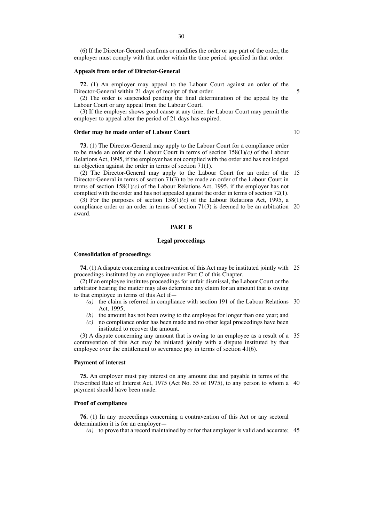(6) If the Director-General confirms or modifies the order or any part of the order, the employer must comply with that order within the time period specified in that order.

#### **Appeals from order of Director-General**

**72.** (1) An employer may appeal to the Labour Court against an order of the Director-General within 21 days of receipt of that order.

(2) The order is suspended pending the final determination of the appeal by the Labour Court or any appeal from the Labour Court.

(3) If the employer shows good cause at any time, the Labour Court may permit the employer to appeal after the period of 21 days has expired.

# **Order may be made order of Labour Court**

**73.** (1) The Director-General may apply to the Labour Court for a compliance order to be made an order of the Labour Court in terms of section 158(1)*(c)* of the Labour Relations Act, 1995, if the employer has not complied with the order and has not lodged an objection against the order in terms of section 71(1).

(2) The Director-General may apply to the Labour Court for an order of the 15 Director-General in terms of section 71(3) to be made an order of the Labour Court in terms of section 158(1)*(c)* of the Labour Relations Act, 1995, if the employer has not complied with the order and has not appealed against the order in terms of section 72(1).

(3) For the purposes of section 158(1)*(c)* of the Labour Relations Act, 1995, a compliance order or an order in terms of section 71(3) is deemed to be an arbitration 20 award.

#### **PART B**

# **Legal proceedings**

#### **Consolidation of proceedings**

**74.** (1) A dispute concerning a contravention of this Act may be instituted jointly with 25 proceedings instituted by an employee under Part C of this Chapter.

(2) If an employee institutes proceedings for unfair dismissal, the Labour Court or the arbitrator hearing the matter may also determine any claim for an amount that is owing to that employee in terms of this Act if—

- *(a)* the claim is referred in compliance with section 191 of the Labour Relations 30 Act, 1995;
- *(b)* the amount has not been owing to the employee for longer than one year; and
- *(c)* no compliance order has been made and no other legal proceedings have been instituted to recover the amount.

(3) A dispute concerning any amount that is owing to an employee as a result of a 35 contravention of this Act may be initiated jointly with a dispute instituted by that employee over the entitlement to severance pay in terms of section 41(6).

#### **Payment of interest**

**75.** An employer must pay interest on any amount due and payable in terms of the Prescribed Rate of Interest Act, 1975 (Act No. 55 of 1975), to any person to whom a 40 payment should have been made.

#### **Proof of compliance**

**76.** (1) In any proceedings concerning a contravention of this Act or any sectoral determination it is for an employer—

*(a)* to prove that a record maintained by or for that employer is valid and accurate; 45

10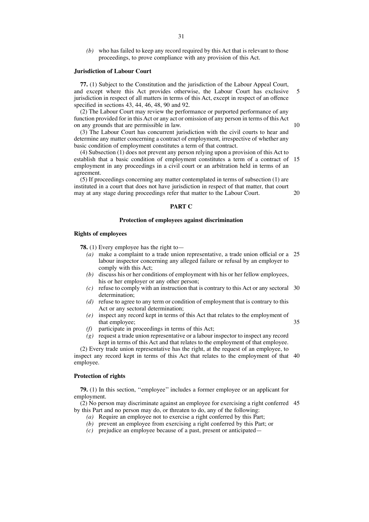*(b)* who has failed to keep any record required by this Act that is relevant to those proceedings, to prove compliance with any provision of this Act.

#### **Jurisdiction of Labour Court**

**77.** (1) Subject to the Constitution and the jurisdiction of the Labour Appeal Court, and except where this Act provides otherwise, the Labour Court has exclusive jurisdiction in respect of all matters in terms of this Act, except in respect of an offence specified in sections 43, 44, 46, 48, 90 and 92. 5

(2) The Labour Court may review the performance or purported performance of any function provided for in this Act or any act or omission of any person in terms of this Act on any grounds that are permissible in law.

(3) The Labour Court has concurrent jurisdiction with the civil courts to hear and determine any matter concerning a contract of employment, irrespective of whether any basic condition of employment constitutes a term of that contract.

(4) Subsection (1) does not prevent any person relying upon a provision of this Act to establish that a basic condition of employment constitutes a term of a contract of 15 employment in any proceedings in a civil court or an arbitration held in terms of an agreement.

(5) If proceedings concerning any matter contemplated in terms of subsection (1) are instituted in a court that does not have jurisdiction in respect of that matter, that court may at any stage during proceedings refer that matter to the Labour Court. 20

#### **PART C**

#### **Protection of employees against discrimination**

# **Rights of employees**

**78.** (1) Every employee has the right to—

- *(a)* make a complaint to a trade union representative, a trade union official or a 25 labour inspector concerning any alleged failure or refusal by an employer to comply with this Act;
- *(b)* discuss his or her conditions of employment with his or her fellow employees, his or her employer or any other person;
- *(c)* refuse to comply with an instruction that is contrary to this Act or any sectoral 30 determination;
- *(d)* refuse to agree to any term or condition of employment that is contrary to this Act or any sectoral determination;
- *(e)* inspect any record kept in terms of this Act that relates to the employment of that employee; 35
- *(f)* participate in proceedings in terms of this Act;
- *(g)* request a trade union representative or a labour inspector to inspect any record kept in terms of this Act and that relates to the employment of that employee.

(2) Every trade union representative has the right, at the request of an employee, to inspect any record kept in terms of this Act that relates to the employment of that 40 employee.

# **Protection of rights**

**79.** (1) In this section, ''employee'' includes a former employee or an applicant for employment.

(2) No person may discriminate against an employee for exercising a right conferred 45by this Part and no person may do, or threaten to do, any of the following:

- *(a)* Require an employee not to exercise a right conferred by this Part;
- *(b)* prevent an employee from exercising a right conferred by this Part; or
- *(c)* prejudice an employee because of a past, present or anticipated—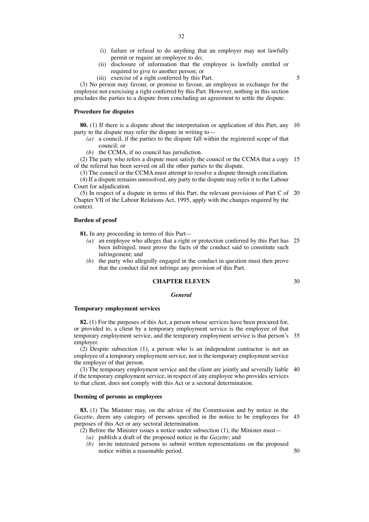- (i) failure or refusal to do anything that an employer may not lawfully permit or require an employee to do;
- (ii) disclosure of information that the employee is lawfully entitled or required to give to another person; or
- (iii) exercise of a right conferred by this Part.

5

(3) No person may favour, or promise to favour, an employee in exchange for the employee not exercising a right conferred by this Part. However, nothing in this section precludes the parties to a dispute from concluding an agreement to settle the dispute.

# **Procedure for disputes**

**80.** (1) If there is a dispute about the interpretation or application of this Part, any 10 party to the dispute may refer the dispute in writing to—

- *(a)* a council, if the parties to the dispute fall within the registered scope of that council; or
- *(b)* the CCMA, if no council has jurisdiction.

(2) The party who refers a dispute must satisfy the council or the CCMA that a copy 15 of the referral has been served on all the other parties to the dispute.

(3) The council or the CCMA must attempt to resolve a dispute through conciliation. (4) If a dispute remains unresolved, any party to the dispute may refer it to the Labour Court for adjudication.

(5) In respect of a dispute in terms of this Part, the relevant provisions of Part C of 20 Chapter VII of the Labour Relations Act, 1995, apply with the changes required by the context.

#### **Burden of proof**

**81.** In any proceeding in terms of this Part—

- *(a)* an employee who alleges that a right or protection conferred by this Part has 25 been infringed, must prove the facts of the conduct said to constitute such infringement; and
- *(b)* the party who allegedly engaged in the conduct in question must then prove that the conduct did not infringe any provision of this Part.

#### **CHAPTER ELEVEN**

30

# *General*

#### **Temporary employment services**

**82.** (1) For the purposes of this Act, a person whose services have been procured for, or provided to, a client by a temporary employment service is the employee of that temporary employment service, and the temporary employment service is that person's 35 employer.

(2) Despite subsection (1), a person who is an independent contractor is not an employee of a temporary employment service, nor is the temporary employment service the employer of that person.

(3) The temporary employment service and the client are jointly and severally liable 40 if the temporary employment service, in respect of any employee who provides services to that client, does not comply with this Act or a sectoral determination.

#### **Deeming of persons as employees**

**83.** (1) The Minister may, on the advice of the Commission and by notice in the *Gazette*, deem any category of persons specified in the notice to be employees for 45 purposes of this Act or any sectoral determination.

 $(2)$  Before the Minister issues a notice under subsection (1), the Minister must—

- *(a)* publish a draft of the proposed notice in the *Gazette*; and
- *(b)* invite interested persons to submit written representations on the proposed notice within a reasonable period. 50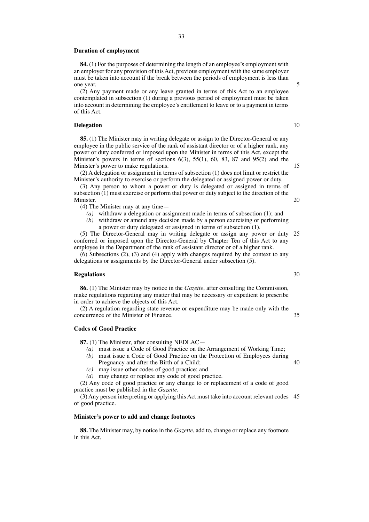#### **Duration of employment**

**84.** (1) For the purposes of determining the length of an employee's employment with an employer for any provision of thisAct, previous employment with the same employer must be taken into account if the break between the periods of employment is less than one year.

(2) Any payment made or any leave granted in terms of this Act to an employee contemplated in subsection (1) during a previous period of employment must be taken into account in determining the employee's entitlement to leave or to a payment in terms of this Act.

#### **Delegation**

**85.** (1) The Minister may in writing delegate or assign to the Director-General or any employee in the public service of the rank of assistant director or of a higher rank, any power or duty conferred or imposed upon the Minister in terms of this Act, except the Minister's powers in terms of sections  $6(3)$ ,  $55(1)$ ,  $60$ ,  $83$ ,  $87$  and  $95(2)$  and the Minister's power to make regulations.

(2) A delegation or assignment in terms of subsection (1) does not limit or restrict the Minister's authority to exercise or perform the delegated or assigned power or duty.

(3) Any person to whom a power or duty is delegated or assigned in terms of subsection (1) must exercise or perform that power or duty subject to the direction of the Minister.

(4) The Minister may at any time—

*(a)* withdraw a delegation or assignment made in terms of subsection (1); and

*(b)* withdraw or amend any decision made by a person exercising or performing a power or duty delegated or assigned in terms of subsection (1).

(5) The Director-General may in writing delegate or assign any power or duty 25 conferred or imposed upon the Director-General by Chapter Ten of this Act to any employee in the Department of the rank of assistant director or of a higher rank.

(6) Subsections (2), (3) and (4) apply with changes required by the context to any delegations or assignments by the Director-General under subsection (5).

#### **Regulations**

**86.** (1) The Minister may by notice in the *Gazette*, after consulting the Commission, make regulations regarding any matter that may be necessary or expedient to prescribe in order to achieve the objects of this Act.

(2) A regulation regarding state revenue or expenditure may be made only with the concurrence of the Minister of Finance.

# **Codes of Good Practice**

**87.** (1) The Minister, after consulting NEDLAC—

- *(a)* must issue a Code of Good Practice on the Arrangement of Working Time;
- *(b)* must issue a Code of Good Practice on the Protection of Employees during Pregnancy and after the Birth of a Child;
- *(c)* may issue other codes of good practice; and
- *(d)* may change or replace any code of good practice.

(2) Any code of good practice or any change to or replacement of a code of good practice must be published in the *Gazette*.

(3) Any person interpreting or applying this Act must take into account relevant codes 45of good practice.

#### **Minister's power to add and change footnotes**

**88.** The Minister may, by notice in the *Gazette*, add to, change or replace any footnote in this Act.

10

15

20

5

30

35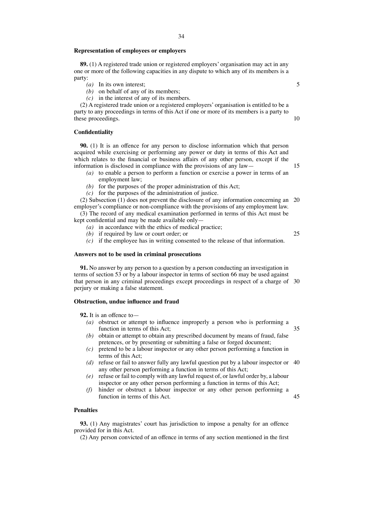#### **Representation of employees or employers**

**89.** (1) A registered trade union or registered employers' organisation may act in any one or more of the following capacities in any dispute to which any of its members is a party:

- *(a)* In its own interest;
- *(b)* on behalf of any of its members;
- *(c)* in the interest of any of its members.

(2) A registered trade union or a registered employers' organisation is entitled to be a party to any proceedings in terms of this Act if one or more of its members is a party to these proceedings.

## **Confidentiality**

**90.** (1) It is an offence for any person to disclose information which that person acquired while exercising or performing any power or duty in terms of this Act and which relates to the financial or business affairs of any other person, except if the information is disclosed in compliance with the provisions of any law—

- *(a)* to enable a person to perform a function or exercise a power in terms of an employment law;
- *(b)* for the purposes of the proper administration of this Act;
- *(c)* for the purposes of the administration of justice.

(2) Subsection (1) does not prevent the disclosure of any information concerning an 20 employer's compliance or non-compliance with the provisions of any employment law.

(3) The record of any medical examination performed in terms of this Act must be kept confidential and may be made available only—

- *(a)* in accordance with the ethics of medical practice;
- *(b)* if required by law or court order; or
	-
- *(c)* if the employee has in writing consented to the release of that information.

# **Answers not to be used in criminal prosecutions**

**91.** No answer by any person to a question by a person conducting an investigation in terms of section 53 or by a labour inspector in terms of section 66 may be used against that person in any criminal proceedings except proceedings in respect of a charge of 30 perjury or making a false statement.

# **Obstruction, undue influence and fraud**

**92.** It is an offence to—

- *(a)* obstruct or attempt to influence improperly a person who is performing a function in terms of this Act;
- *(b)* obtain or attempt to obtain any prescribed document by means of fraud, false pretences, or by presenting or submitting a false or forged document;
- *(c)* pretend to be a labour inspector or any other person performing a function in terms of this Act;
- *(d)* refuse or fail to answer fully any lawful question put by a labour inspector or 40 any other person performing a function in terms of this Act;
- *(e)* refuse or fail to comply with any lawful request of, or lawful order by, a labour inspector or any other person performing a function in terms of this Act;
- *(f)* hinder or obstruct a labour inspector or any other person performing a function in terms of this Act. 45

35

#### **Penalties**

**93.** (1) Any magistrates' court has jurisdiction to impose a penalty for an offence provided for in this Act.

(2) Any person convicted of an offence in terms of any section mentioned in the first

5

10

15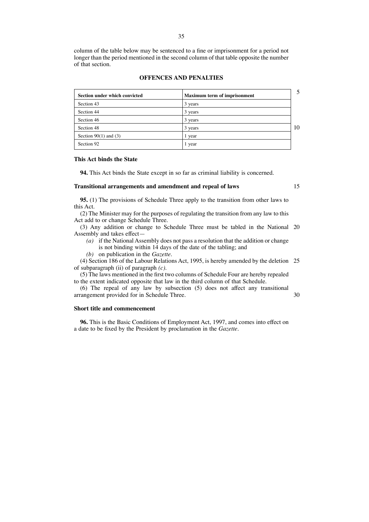column of the table below may be sentenced to a fine or imprisonment for a period not longer than the period mentioned in the second column of that table opposite the number of that section.

# **OFFENCES AND PENALTIES**

| Section under which convicted | <b>Maximum term of imprisonment</b> | 5  |
|-------------------------------|-------------------------------------|----|
| Section 43                    | 3 years                             |    |
| Section 44                    | 3 years                             |    |
| Section 46                    | 3 years                             |    |
| Section 48                    | 3 years                             | 10 |
| Section $90(1)$ and (3)       | l year                              |    |
| Section 92                    | year                                |    |

#### **This Act binds the State**

**94.** This Act binds the State except in so far as criminal liability is concerned.

## **Transitional arrangements and amendment and repeal of laws**

15

30

**95.** (1) The provisions of Schedule Three apply to the transition from other laws to this Act.

(2) The Minister may for the purposes of regulating the transition from any law to this Act add to or change Schedule Three.

(3) Any addition or change to Schedule Three must be tabled in the National 20 Assembly and takes effect—

*(a)* if the National Assembly does not pass a resolution that the addition or change is not binding within 14 days of the date of the tabling; and

*(b)* on publication in the *Gazette*.

(4) Section 186 of the Labour Relations Act, 1995, is hereby amended by the deletion 25 of subparagraph (ii) of paragraph *(c)*.

(5) The laws mentioned in the first two columns of Schedule Four are hereby repealed to the extent indicated opposite that law in the third column of that Schedule.

(6) The repeal of any law by subsection (5) does not affect any transitional arrangement provided for in Schedule Three.

#### **Short title and commencement**

**96.** This is the Basic Conditions of Employment Act, 1997, and comes into effect on a date to be fixed by the President by proclamation in the *Gazette*.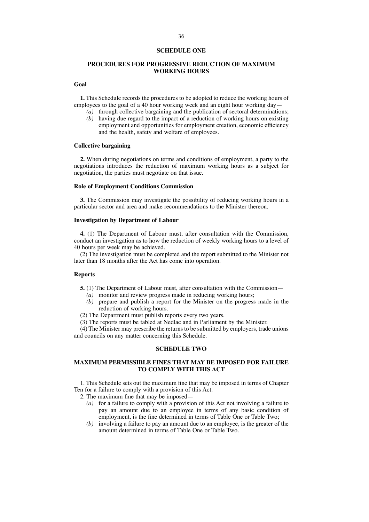#### **SCHEDULE ONE**

## **PROCEDURES FOR PROGRESSIVE REDUCTION OF MAXIMUM WORKING HOURS**

#### **Goal**

**1.** This Schedule records the procedures to be adopted to reduce the working hours of employees to the goal of a 40 hour working week and an eight hour working day—

- *(a)* through collective bargaining and the publication of sectoral determinations;
- *(b)* having due regard to the impact of a reduction of working hours on existing employment and opportunities for employment creation, economic efficiency and the health, safety and welfare of employees.

# **Collective bargaining**

**2.** When during negotiations on terms and conditions of employment, a party to the negotiations introduces the reduction of maximum working hours as a subject for negotiation, the parties must negotiate on that issue.

## **Role of Employment Conditions Commission**

**3.** The Commission may investigate the possibility of reducing working hours in a particular sector and area and make recommendations to the Minister thereon.

#### **Investigation by Department of Labour**

**4.** (1) The Department of Labour must, after consultation with the Commission, conduct an investigation as to how the reduction of weekly working hours to a level of 40 hours per week may be achieved.

(2) The investigation must be completed and the report submitted to the Minister not later than 18 months after the Act has come into operation.

#### **Reports**

- **5.** (1) The Department of Labour must, after consultation with the Commission—
	- *(a)* monitor and review progress made in reducing working hours;
	- *(b)* prepare and publish a report for the Minister on the progress made in the reduction of working hours.
- (2) The Department must publish reports every two years.
- (3) The reports must be tabled at Nedlac and in Parliament by the Minister.

(4) The Minister may prescribe the returns to be submitted by employers, trade unions and councils on any matter concerning this Schedule.

# **SCHEDULE TWO**

# **MAXIMUM PERMISSIBLE FINES THAT MAY BE IMPOSED FOR FAILURE TO COMPLY WITH THIS ACT**

1. This Schedule sets out the maximum fine that may be imposed in terms of Chapter Ten for a failure to comply with a provision of this Act.

2. The maximum fine that may be imposed—

- *(a)* for a failure to comply with a provision of this Act not involving a failure to pay an amount due to an employee in terms of any basic condition of employment, is the fine determined in terms of Table One or Table Two;
- *(b)* involving a failure to pay an amount due to an employee, is the greater of the amount determined in terms of Table One or Table Two.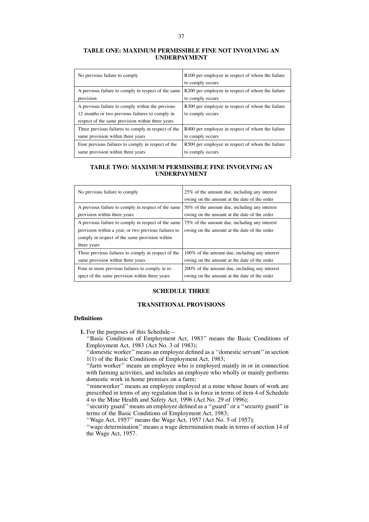# **TABLE ONE: MAXIMUM PERMISSIBLE FINE NOT INVOLVING AN UNDERPAYMENT**

| No previous failure to comply                       | R100 per employee in respect of whom the failure |
|-----------------------------------------------------|--------------------------------------------------|
|                                                     | to comply occurs                                 |
| A previous failure to comply in respect of the same | R200 per employee in respect of whom the failure |
| provision                                           | to comply occurs                                 |
| A previous failure to comply within the previous    | R300 per employee in respect of whom the failure |
| 12 months or two previous failures to comply in     | to comply occurs                                 |
| respect of the same provision within three years    |                                                  |
| Three previous failures to comply in respect of the | R400 per employee in respect of whom the failure |
| same provision within three years                   | to comply occurs                                 |
| Four previous failures to comply in respect of the  | R500 per employee in respect of whom the failure |
| same provision within three years                   | to comply occurs                                 |

# **TABLE TWO: MAXIMUM PERMISSIBLE FINE INVOLVING AN UNDERPAYMENT**

| No previous failure to comply                                                                                                                                                | 25% of the amount due, including any interest<br>owing on the amount at the date of the order |
|------------------------------------------------------------------------------------------------------------------------------------------------------------------------------|-----------------------------------------------------------------------------------------------|
| A previous failure to comply in respect of the same                                                                                                                          | 50% of the amount due, including any interest                                                 |
| provision within three years                                                                                                                                                 | owing on the amount at the date of the order                                                  |
| A previous failure to comply in respect of the same<br>provision within a year, or two previous failures to<br>comply in respect of the same provision within<br>three years | 75% of the amount due, including any interest<br>owing on the amount at the date of the order |
| Three previous failures to comply in respect of the                                                                                                                          | 100% of the amount due, including any interest                                                |
| same provision within three years                                                                                                                                            | owing on the amount at the date of the order                                                  |
| Four or more previous failures to comply in re-                                                                                                                              | 200% of the amount due, including any interest                                                |
| spect of the same provision within three years                                                                                                                               | owing on the amount at the date of the order                                                  |

# **SCHEDULE THREE**

# **TRANSITIONAL PROVISIONS**

#### **Definitions**

**1.** For the purposes of this Schedule—

''Basic Conditions of Employment Act, 1983'' means the Basic Conditions of Employment Act, 1983 (Act No. 3 of 1983);

''domestic worker''means an employee defined as a ''domestic servant''in section 1(1) of the Basic Conditions of Employment Act, 1983;

"farm worker" means an employee who is employed mainly in or in connection with farming activities, and includes an employee who wholly or mainly performs domestic work in home premises on a farm;

''mineworker'' means an employee employed at a mine whose hours of work are prescribed in terms of any regulation that is in force in terms of item 4 of Schedule 4 to the Mine Health and Safety Act, 1996 (Act No. 29 of 1996);

''security guard''means an employee defined as a ''guard'' or a ''security guard''in terms of the Basic Conditions of Employment Act, 1983;

''Wage Act, 1957'' means the Wage Act, 1957 (Act No. 5 of 1957);

''wage determination''means a wage determination made in terms of section 14 of the Wage Act, 1957.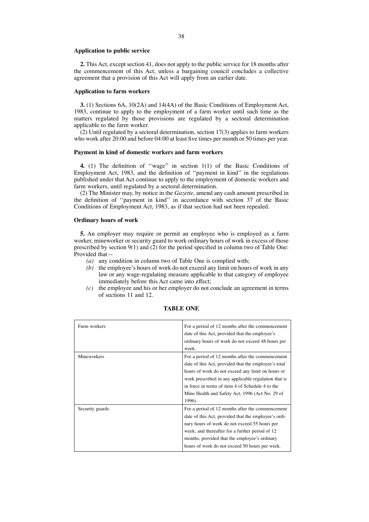#### **Application to public service**

**2.** This Act, except section 41, does not apply to the public service for 18 months after the commencement of this Act, unless a bargaining council concludes a collective agreement that a provision of this Act will apply from an earlier date.

#### **Application to farm workers**

**3.** (1) Sections 6A, 10(2A) and 14(4A) of the Basic Conditions of Employment Act, 1983, continue to apply to the employment of a farm worker until such time as the matters regulated by those provisions are regulated by a sectoral determination applicable to the farm worker.

 $(2)$  Until regulated by a sectoral determination, section 17(3) applies to farm workers who work after 20:00 and before 04:00 at least five times per month or 50 times per year.

#### **Payment in kind of domestic workers and farm workers**

**4.** (1) The definition of ''wage'' in section 1(1) of the Basic Conditions of Employment Act, 1983, and the definition of ''payment in kind'' in the regulations published under that Act continue to apply to the employment of domestic workers and farm workers, until regulated by a sectoral determination.

(2) The Minister may, by notice in the *Gazette*, amend any cash amount prescribed in the definition of ''payment in kind'' in accordance with section 37 of the Basic Conditions of Employment Act, 1983, as if that section had not been repealed.

#### **Ordinary hours of work**

**5.** An employer may require or permit an employee who is employed as a farm worker, mineworker or security guard to work ordinary hours of work in excess of those prescribed by section  $9(1)$  and  $(2)$  for the period specified in column two of Table One: Provided that—

- *(a)* any condition in column two of Table One is complied with;
- *(b)* the employee's hours of work do not exceed any limit on hours of work in any law or any wage-regulating measure applicable to that category of employee immediately before this Act came into effect;
- *(c)* the employee and his or her employer do not conclude an agreement in terms of sections 11 and 12.

| Farm workers    | For a period of 12 months after the commencement<br>date of this Act, provided that the employee's<br>ordinary hours of work do not exceed 48 hours per<br>week.                                                                                                                                                                       |
|-----------------|----------------------------------------------------------------------------------------------------------------------------------------------------------------------------------------------------------------------------------------------------------------------------------------------------------------------------------------|
| Mineworkers     | For a period of 12 months after the commencement<br>date of this Act, provided that the employee's total<br>hours of work do not exceed any limit on hours or<br>work prescribed in any applicable regulation that is<br>in force in terms of item 4 of Schedule 4 to the<br>Mine Health and Safety Act, 1996 (Act No. 29 of<br>1996). |
| Security guards | For a period of 12 months after the commencement<br>date of this Act, provided that the employee's ordi-<br>nary hours of work do not exceed 55 hours per<br>week; and thereafter for a further period of 12<br>months, provided that the employee's ordinary<br>hours of work do not exceed 50 hours per week.                        |

# **TABLE ONE**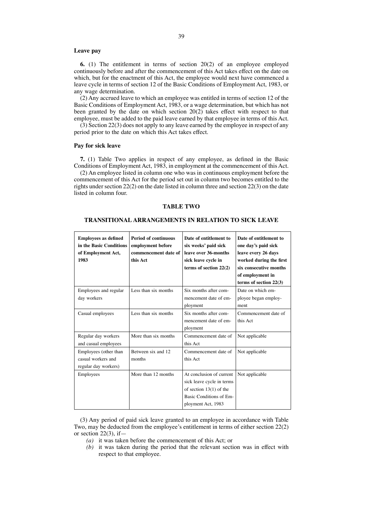#### **Leave pay**

**6.** (1) The entitlement in terms of section 20(2) of an employee employed continuously before and after the commencement of this Act takes effect on the date on which, but for the enactment of this Act, the employee would next have commenced a leave cycle in terms of section 12 of the Basic Conditions of Employment Act, 1983, or any wage determination.

(2) Any accrued leave to which an employee was entitled in terms of section 12 of the Basic Conditions of Employment Act, 1983, or a wage determination, but which has not been granted by the date on which section 20(2) takes effect with respect to that employee, must be added to the paid leave earned by that employee in terms of this Act.

(3) Section 22(3) does not apply to any leave earned by the employee in respect of any period prior to the date on which this Act takes effect.

#### **Pay for sick leave**

**7.** (1) Table Two applies in respect of any employee, as defined in the Basic Conditions of Employment Act, 1983, in employment at the commencement of this Act.

(2) An employee listed in column one who was in continuous employment before the commencement of this Act for the period set out in column two becomes entitled to the rights under section  $22(2)$  on the date listed in column three and section  $22(3)$  on the date listed in column four.

#### **TABLE TWO**

# **TRANSITIONAL ARRANGEMENTS IN RELATION TO SICK LEAVE**

| <b>Employees as defined</b><br>in the Basic Conditions<br>of Employment Act,<br>1983 | <b>Period of continuous</b><br>employment before<br>commencement date of<br>this Act | Date of entitlement to<br>six weeks' paid sick<br>leave over 36-months<br>sick leave cycle in<br>terms of section $22(2)$           | Date of entitlement to<br>one day's paid sick<br>leave every 26 days<br>worked during the first<br>six consecutive months<br>of employment in<br>terms of section $22(3)$ |
|--------------------------------------------------------------------------------------|--------------------------------------------------------------------------------------|-------------------------------------------------------------------------------------------------------------------------------------|---------------------------------------------------------------------------------------------------------------------------------------------------------------------------|
| Employees and regular<br>day workers                                                 | Less than six months                                                                 | Six months after com-<br>mencement date of em-<br>ployment                                                                          | Date on which em-<br>ployee began employ-<br>ment                                                                                                                         |
| Casual employees                                                                     | Less than six months                                                                 | Six months after com-<br>mencement date of em-<br>ployment                                                                          | Commencement date of<br>this Act                                                                                                                                          |
| Regular day workers<br>and casual employees                                          | More than six months                                                                 | Commencement date of<br>this Act                                                                                                    | Not applicable                                                                                                                                                            |
| Employees (other than<br>casual workers and<br>regular day workers)                  | Between six and 12.<br>months                                                        | Commencement date of<br>this Act                                                                                                    | Not applicable                                                                                                                                                            |
| Employees                                                                            | More than 12 months                                                                  | At conclusion of current<br>sick leave cycle in terms<br>of section $13(1)$ of the<br>Basic Conditions of Em-<br>ployment Act, 1983 | Not applicable                                                                                                                                                            |

(3) Any period of paid sick leave granted to an employee in accordance with Table Two, may be deducted from the employee's entitlement in terms of either section 22(2) or section  $22(3)$ , if  $-$ 

*(a)* it was taken before the commencement of this Act; or

*(b)* it was taken during the period that the relevant section was in effect with respect to that employee.